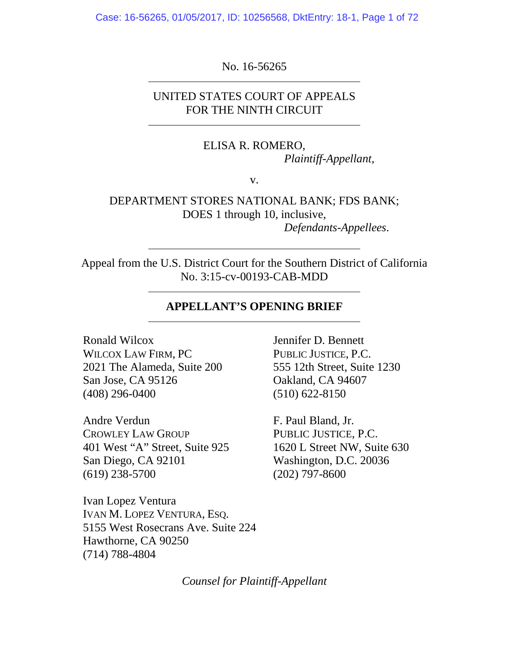Case: 16-56265, 01/05/2017, ID: 10256568, DktEntry: 18-1, Page 1 of 72

No. 16-56265

UNITED STATES COURT OF APPEALS FOR THE NINTH CIRCUIT

> ELISA R. ROMERO, *Plaintiff-Appellant*,

> > v.

DEPARTMENT STORES NATIONAL BANK; FDS BANK; DOES 1 through 10, inclusive, *Defendants-Appellees*.

Appeal from the U.S. District Court for the Southern District of California No. 3:15-cv-00193-CAB-MDD

### **APPELLANT'S OPENING BRIEF**

Ronald Wilcox WILCOX LAW FIRM, PC 2021 The Alameda, Suite 200 San Jose, CA 95126 (408) 296-0400

Andre Verdun CROWLEY LAW GROUP 401 West "A" Street, Suite 925 San Diego, CA 92101 (619) 238-5700

Ivan Lopez Ventura IVAN M. LOPEZ VENTURA, ESQ. 5155 West Rosecrans Ave. Suite 224 Hawthorne, CA 90250 (714) 788-4804

Jennifer D. Bennett PUBLIC JUSTICE, P.C. 555 12th Street, Suite 1230 Oakland, CA 94607 (510) 622-8150

F. Paul Bland, Jr. PUBLIC JUSTICE, P.C. 1620 L Street NW, Suite 630 Washington, D.C. 20036 (202) 797-8600

*Counsel for Plaintiff-Appellant*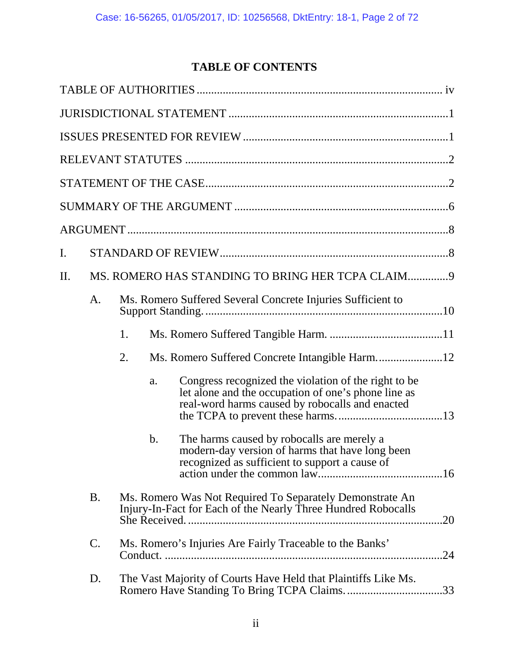# **TABLE OF CONTENTS**

| I. |               |                                                                                                                                                                      |
|----|---------------|----------------------------------------------------------------------------------------------------------------------------------------------------------------------|
| Π. |               | MS. ROMERO HAS STANDING TO BRING HER TCPA CLAIM 9                                                                                                                    |
|    | A.            | Ms. Romero Suffered Several Concrete Injuries Sufficient to                                                                                                          |
|    |               | 1.                                                                                                                                                                   |
|    |               | Ms. Romero Suffered Concrete Intangible Harm12<br>2.                                                                                                                 |
|    |               | Congress recognized the violation of the right to be<br>a.<br>let alone and the occupation of one's phone line as<br>real-word harms caused by robocalls and enacted |
|    |               | The harms caused by robocalls are merely a<br>b.<br>modern-day version of harms that have long been<br>recognized as sufficient to support a cause of                |
|    | <b>B.</b>     | Ms. Romero Was Not Required To Separately Demonstrate An<br>Injury-In-Fact for Each of the Nearly Three Hundred Robocalls<br>She Received.<br>.20                    |
|    | $\mathsf{C}.$ | Ms. Romero's Injuries Are Fairly Traceable to the Banks'<br>.24                                                                                                      |
|    | D.            | The Vast Majority of Courts Have Held that Plaintiffs Like Ms.<br>Romero Have Standing To Bring TCPA Claims33                                                        |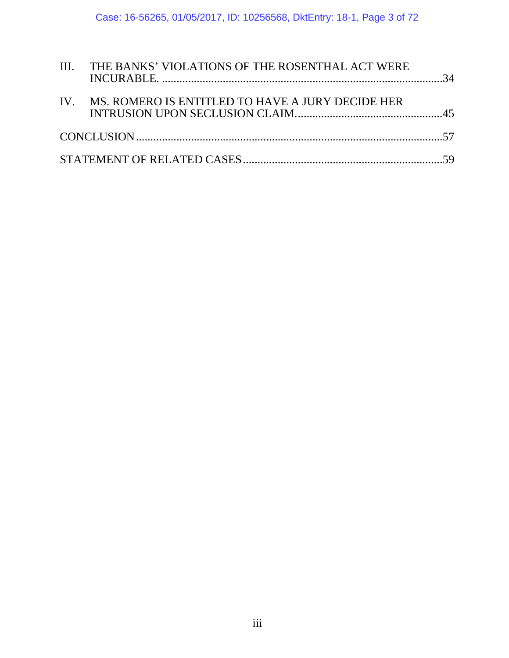| III. THE BANKS' VIOLATIONS OF THE ROSENTHAL ACT WERE |  |
|------------------------------------------------------|--|
| IV. MS. ROMERO IS ENTITLED TO HAVE A JURY DECIDE HER |  |
|                                                      |  |
|                                                      |  |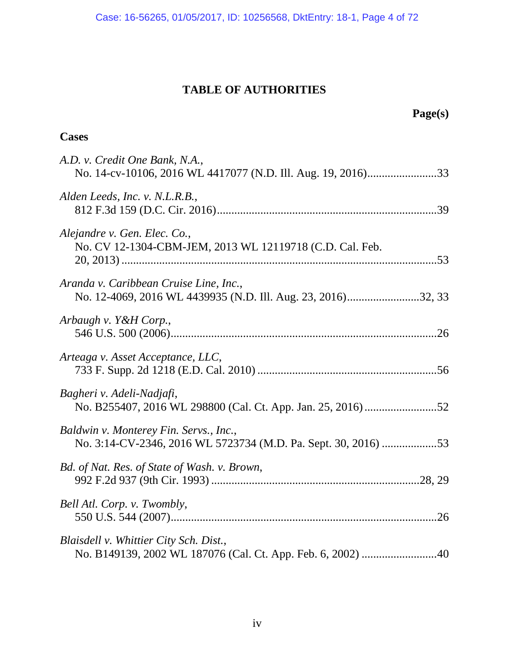# **TABLE OF AUTHORITIES**

# **Page(s)**

# **Cases**

| A.D. v. Credit One Bank, N.A.,                                                                           |
|----------------------------------------------------------------------------------------------------------|
| Alden Leeds, Inc. v. N.L.R.B.,                                                                           |
| Alejandre v. Gen. Elec. Co.,<br>No. CV 12-1304-CBM-JEM, 2013 WL 12119718 (C.D. Cal. Feb.                 |
| Aranda v. Caribbean Cruise Line, Inc.,<br>No. 12-4069, 2016 WL 4439935 (N.D. Ill. Aug. 23, 2016)32, 33   |
| Arbaugh v. Y&H Corp.,                                                                                    |
| Arteaga v. Asset Acceptance, LLC,                                                                        |
| Bagheri v. Adeli-Nadjafi,                                                                                |
| Baldwin v. Monterey Fin. Servs., Inc.,<br>No. 3:14-CV-2346, 2016 WL 5723734 (M.D. Pa. Sept. 30, 2016) 53 |
| Bd. of Nat. Res. of State of Wash. v. Brown,                                                             |
| Bell Atl. Corp. v. Twombly,                                                                              |
| Blaisdell v. Whittier City Sch. Dist.,                                                                   |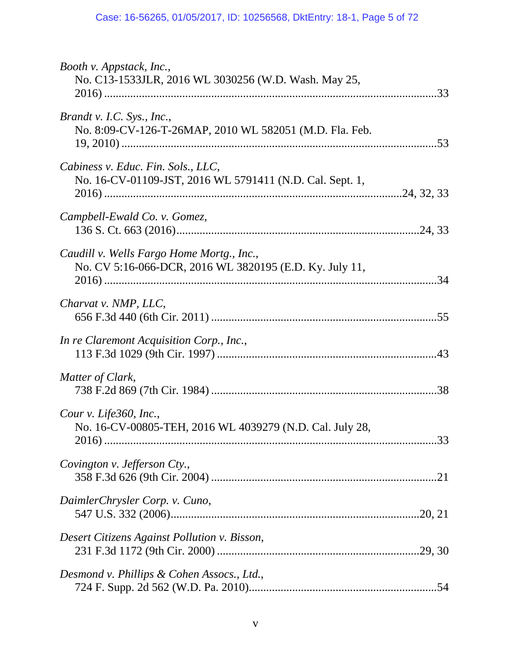| Booth v. Appstack, Inc.,<br>No. C13-1533JLR, 2016 WL 3030256 (W.D. Wash. May 25,                     |  |
|------------------------------------------------------------------------------------------------------|--|
| Brandt v. I.C. Sys., Inc.,<br>No. 8:09-CV-126-T-26MAP, 2010 WL 582051 (M.D. Fla. Feb.                |  |
| Cabiness v. Educ. Fin. Sols., LLC,<br>No. 16-CV-01109-JST, 2016 WL 5791411 (N.D. Cal. Sept. 1,       |  |
| Campbell-Ewald Co. v. Gomez,                                                                         |  |
| Caudill v. Wells Fargo Home Mortg., Inc.,<br>No. CV 5:16-066-DCR, 2016 WL 3820195 (E.D. Ky. July 11, |  |
| Charvat v. NMP, LLC,                                                                                 |  |
| In re Claremont Acquisition Corp., Inc.,                                                             |  |
| Matter of Clark,                                                                                     |  |
| Cour v. Life360, Inc.,<br>No. 16-CV-00805-TEH, 2016 WL 4039279 (N.D. Cal. July 28,                   |  |
| Covington v. Jefferson Cty.,                                                                         |  |
| DaimlerChrysler Corp. v. Cuno,                                                                       |  |
| Desert Citizens Against Pollution v. Bisson,                                                         |  |
| Desmond v. Phillips & Cohen Assocs., Ltd.,                                                           |  |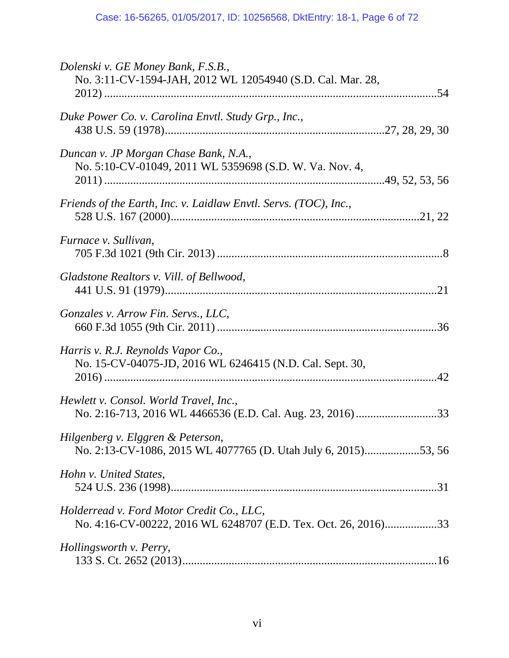| Dolenski v. GE Money Bank, F.S.B.,<br>No. 3:11-CV-1594-JAH, 2012 WL 12054940 (S.D. Cal. Mar. 28,            |  |
|-------------------------------------------------------------------------------------------------------------|--|
| Duke Power Co. v. Carolina Envtl. Study Grp., Inc.,                                                         |  |
| Duncan v. JP Morgan Chase Bank, N.A.,<br>No. 5:10-CV-01049, 2011 WL 5359698 (S.D. W. Va. Nov. 4,            |  |
| Friends of the Earth, Inc. v. Laidlaw Envtl. Servs. (TOC), Inc.,                                            |  |
| Furnace v. Sullivan,                                                                                        |  |
| Gladstone Realtors v. Vill. of Bellwood,                                                                    |  |
| Gonzales v. Arrow Fin. Servs., LLC,                                                                         |  |
| Harris v. R.J. Reynolds Vapor Co.,<br>No. 15-CV-04075-JD, 2016 WL 6246415 (N.D. Cal. Sept. 30,              |  |
| Hewlett v. Consol. World Travel, Inc.,                                                                      |  |
| Hilgenberg v. Elggren & Peterson,<br>No. 2:13-CV-1086, 2015 WL 4077765 (D. Utah July 6, 2015)53, 56         |  |
| Hohn v. United States,                                                                                      |  |
| Holderread v. Ford Motor Credit Co., LLC,<br>No. 4:16-CV-00222, 2016 WL 6248707 (E.D. Tex. Oct. 26, 2016)33 |  |
| Hollingsworth v. Perry,                                                                                     |  |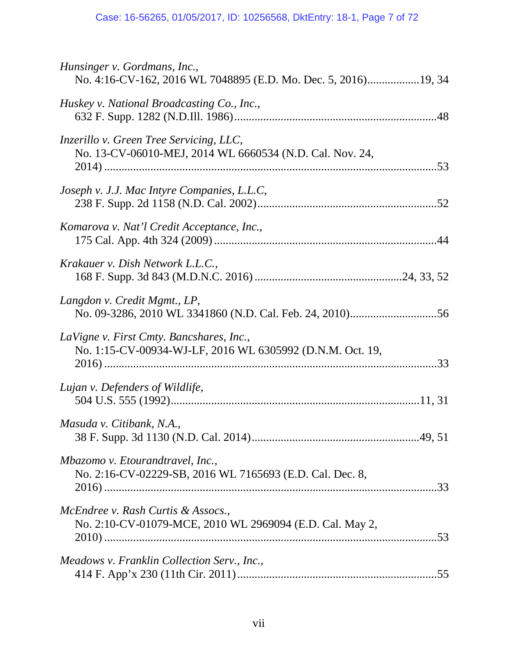| Hunsinger v. Gordmans, Inc.,<br>No. 4:16-CV-162, 2016 WL 7048895 (E.D. Mo. Dec. 5, 2016)19, 34        |
|-------------------------------------------------------------------------------------------------------|
| Huskey v. National Broadcasting Co., Inc.,                                                            |
| Inzerillo v. Green Tree Servicing, LLC,<br>No. 13-CV-06010-MEJ, 2014 WL 6660534 (N.D. Cal. Nov. 24,   |
| Joseph v. J.J. Mac Intyre Companies, L.L.C,                                                           |
| Komarova v. Nat'l Credit Acceptance, Inc.,                                                            |
| Krakauer v. Dish Network L.L.C.,                                                                      |
| Langdon v. Credit Mgmt., LP,                                                                          |
| LaVigne v. First Cmty. Bancshares, Inc.,<br>No. 1:15-CV-00934-WJ-LF, 2016 WL 6305992 (D.N.M. Oct. 19, |
| Lujan v. Defenders of Wildlife,                                                                       |
| Masuda v. Citibank, N.A.,                                                                             |
| Mbazomo v. Etourandtravel, Inc.,<br>No. 2:16-CV-02229-SB, 2016 WL 7165693 (E.D. Cal. Dec. 8,          |
| McEndree v. Rash Curtis & Assocs.,<br>No. 2:10-CV-01079-MCE, 2010 WL 2969094 (E.D. Cal. May 2,        |
| Meadows v. Franklin Collection Serv., Inc.,                                                           |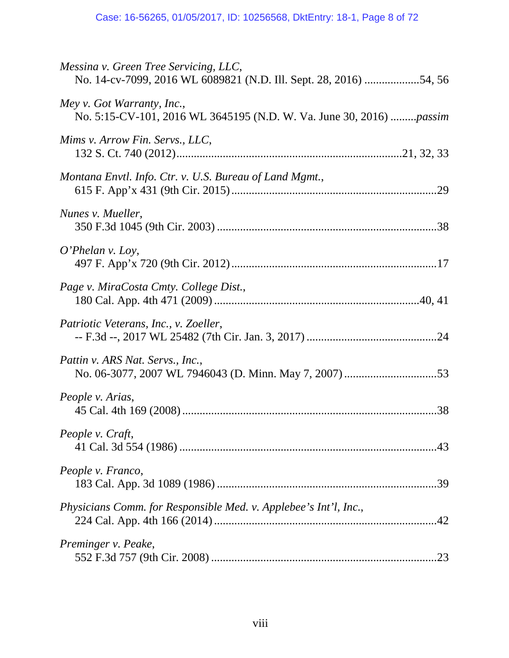| Messina v. Green Tree Servicing, LLC,<br>No. 14-cv-7099, 2016 WL 6089821 (N.D. Ill. Sept. 28, 2016) 54, 56 |
|------------------------------------------------------------------------------------------------------------|
| Mey v. Got Warranty, Inc.,<br>No. 5:15-CV-101, 2016 WL 3645195 (N.D. W. Va. June 30, 2016) passim          |
| Mims v. Arrow Fin. Servs., LLC,                                                                            |
| Montana Envtl. Info. Ctr. v. U.S. Bureau of Land Mgmt.,                                                    |
| Nunes v. Mueller,                                                                                          |
| $O'Phelan$ v. Loy,                                                                                         |
| Page v. MiraCosta Cmty. College Dist.,                                                                     |
| Patriotic Veterans, Inc., v. Zoeller,                                                                      |
| Pattin v. ARS Nat. Servs., Inc.,                                                                           |
| People v. Arias,                                                                                           |
| People v. Craft,                                                                                           |
| People v. Franco,                                                                                          |
| Physicians Comm. for Responsible Med. v. Applebee's Int'l, Inc.,                                           |
| Preminger v. Peake,                                                                                        |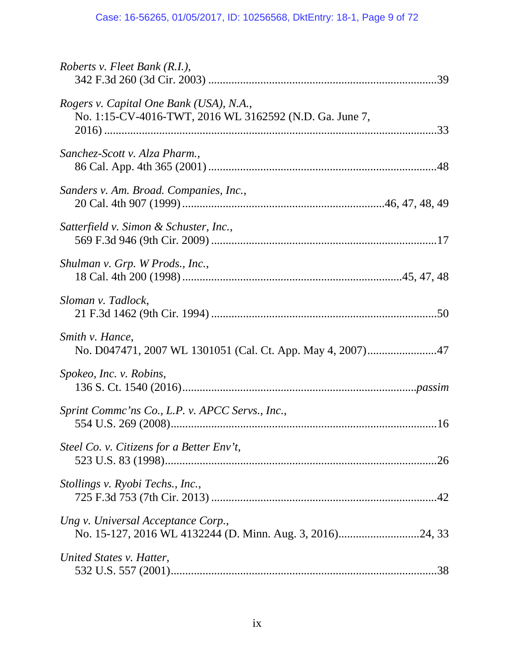| Roberts v. Fleet Bank (R.I.),                                                                      |  |
|----------------------------------------------------------------------------------------------------|--|
| Rogers v. Capital One Bank (USA), N.A.,<br>No. 1:15-CV-4016-TWT, 2016 WL 3162592 (N.D. Ga. June 7, |  |
| Sanchez-Scott v. Alza Pharm.,                                                                      |  |
| Sanders v. Am. Broad. Companies, Inc.,                                                             |  |
| Satterfield v. Simon & Schuster, Inc.,                                                             |  |
| Shulman v. Grp. W Prods., Inc.,                                                                    |  |
| Sloman v. Tadlock,                                                                                 |  |
| Smith v. Hance,                                                                                    |  |
| Spokeo, Inc. v. Robins,                                                                            |  |
| Sprint Commc'ns Co., L.P. v. APCC Servs., Inc.,                                                    |  |
| Steel Co. v. Citizens for a Better Env't,                                                          |  |
| Stollings v. Ryobi Techs., Inc.,                                                                   |  |
| Ung v. Universal Acceptance Corp.,                                                                 |  |
| United States v. Hatter,                                                                           |  |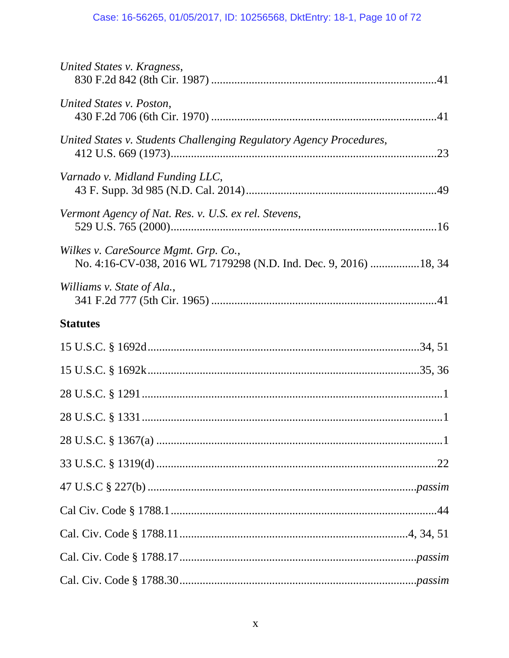| United States v. Kragness,                                                                               |
|----------------------------------------------------------------------------------------------------------|
| United States v. Poston,                                                                                 |
| United States v. Students Challenging Regulatory Agency Procedures,                                      |
| Varnado v. Midland Funding LLC,                                                                          |
| Vermont Agency of Nat. Res. v. U.S. ex rel. Stevens,                                                     |
| Wilkes v. CareSource Mgmt. Grp. Co.,<br>No. 4:16-CV-038, 2016 WL 7179298 (N.D. Ind. Dec. 9, 2016) 18, 34 |
| Williams v. State of Ala.,                                                                               |
| <b>Statutes</b>                                                                                          |
|                                                                                                          |
|                                                                                                          |
|                                                                                                          |
|                                                                                                          |
|                                                                                                          |
|                                                                                                          |
|                                                                                                          |
|                                                                                                          |
|                                                                                                          |
|                                                                                                          |
|                                                                                                          |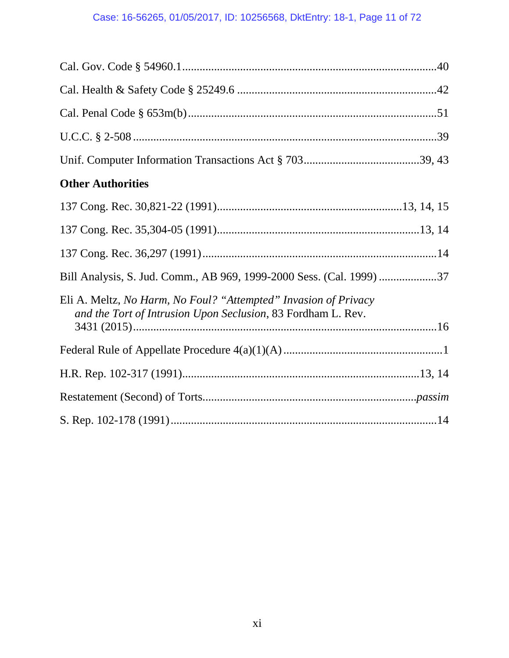# Case: 16-56265, 01/05/2017, ID: 10256568, DktEntry: 18-1, Page 11 of 72

| <b>Other Authorities</b>                                                                                                        |
|---------------------------------------------------------------------------------------------------------------------------------|
|                                                                                                                                 |
|                                                                                                                                 |
|                                                                                                                                 |
| Bill Analysis, S. Jud. Comm., AB 969, 1999-2000 Sess. (Cal. 1999) 37                                                            |
| Eli A. Meltz, No Harm, No Foul? "Attempted" Invasion of Privacy<br>and the Tort of Intrusion Upon Seclusion, 83 Fordham L. Rev. |
|                                                                                                                                 |
|                                                                                                                                 |
|                                                                                                                                 |
|                                                                                                                                 |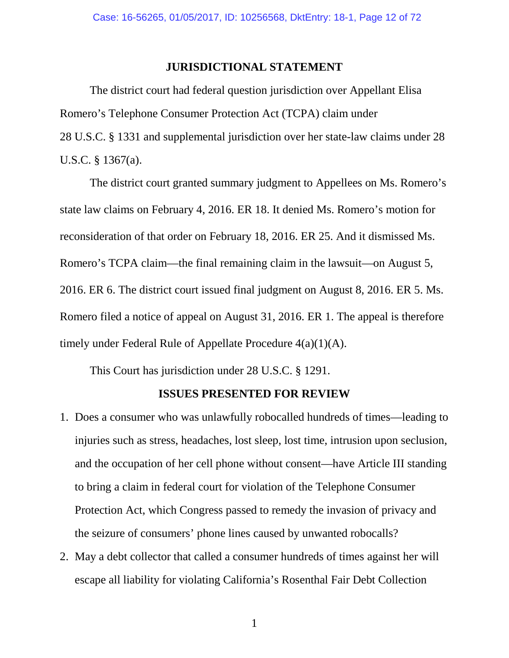#### <span id="page-11-2"></span>**JURISDICTIONAL STATEMENT**

<span id="page-11-1"></span>The district court had federal question jurisdiction over Appellant Elisa Romero's Telephone Consumer Protection Act (TCPA) claim under 28 U.S.C. § 1331 and supplemental jurisdiction over her state-law claims under 28 U.S.C. § 1367(a).

The district court granted summary judgment to Appellees on Ms. Romero's state law claims on February 4, 2016. ER 18. It denied Ms. Romero's motion for reconsideration of that order on February 18, 2016. ER 25. And it dismissed Ms. Romero's TCPA claim—the final remaining claim in the lawsuit—on August 5, 2016. ER 6. The district court issued final judgment on August 8, 2016. ER 5. Ms. Romero filed a notice of appeal on August 31, 2016. ER 1. The appeal is therefore timely under Federal Rule of Appellate Procedure 4(a)(1)(A).

<span id="page-11-3"></span>This Court has jurisdiction under 28 U.S.C. § 1291.

### <span id="page-11-0"></span>**ISSUES PRESENTED FOR REVIEW**

- 1. Does a consumer who was unlawfully robocalled hundreds of times—leading to injuries such as stress, headaches, lost sleep, lost time, intrusion upon seclusion, and the occupation of her cell phone without consent—have Article III standing to bring a claim in federal court for violation of the Telephone Consumer Protection Act, which Congress passed to remedy the invasion of privacy and the seizure of consumers' phone lines caused by unwanted robocalls?
- 2. May a debt collector that called a consumer hundreds of times against her will escape all liability for violating California's Rosenthal Fair Debt Collection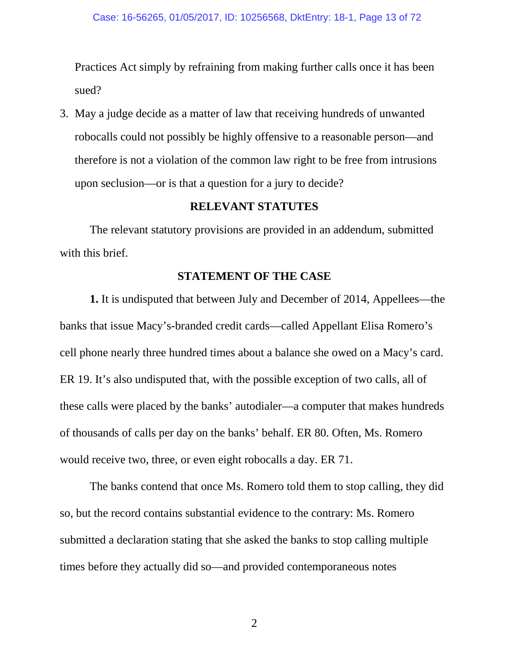Practices Act simply by refraining from making further calls once it has been sued?

3. May a judge decide as a matter of law that receiving hundreds of unwanted robocalls could not possibly be highly offensive to a reasonable person—and therefore is not a violation of the common law right to be free from intrusions upon seclusion—or is that a question for a jury to decide?

## **RELEVANT STATUTES**

The relevant statutory provisions are provided in an addendum, submitted with this brief.

## **STATEMENT OF THE CASE**

**1.** It is undisputed that between July and December of 2014, Appellees—the banks that issue Macy's-branded credit cards—called Appellant Elisa Romero's cell phone nearly three hundred times about a balance she owed on a Macy's card. ER 19. It's also undisputed that, with the possible exception of two calls, all of these calls were placed by the banks' autodialer—a computer that makes hundreds of thousands of calls per day on the banks' behalf. ER 80. Often, Ms. Romero would receive two, three, or even eight robocalls a day. ER 71.

The banks contend that once Ms. Romero told them to stop calling, they did so, but the record contains substantial evidence to the contrary: Ms. Romero submitted a declaration stating that she asked the banks to stop calling multiple times before they actually did so—and provided contemporaneous notes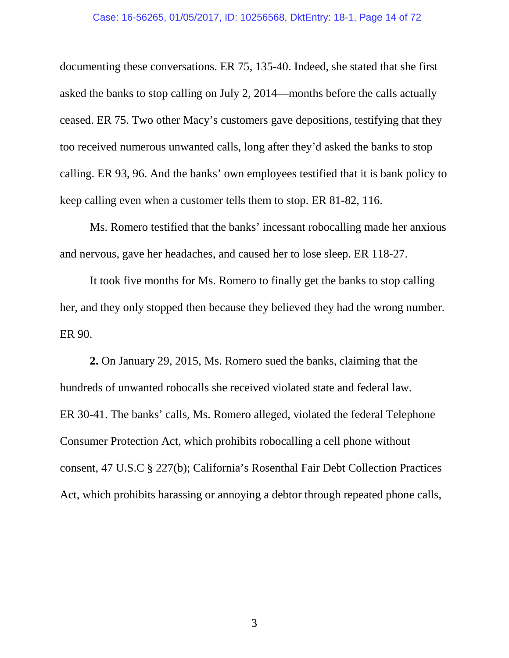documenting these conversations. ER 75, 135-40. Indeed, she stated that she first asked the banks to stop calling on July 2, 2014—months before the calls actually ceased. ER 75. Two other Macy's customers gave depositions, testifying that they too received numerous unwanted calls, long after they'd asked the banks to stop calling. ER 93, 96. And the banks' own employees testified that it is bank policy to keep calling even when a customer tells them to stop. ER 81-82, 116.

Ms. Romero testified that the banks' incessant robocalling made her anxious and nervous, gave her headaches, and caused her to lose sleep. ER 118-27.

It took five months for Ms. Romero to finally get the banks to stop calling her, and they only stopped then because they believed they had the wrong number. ER 90.

**2.** On January 29, 2015, Ms. Romero sued the banks, claiming that the hundreds of unwanted robocalls she received violated state and federal law. ER 30-41. The banks' calls, Ms. Romero alleged, violated the federal Telephone Consumer Protection Act, which prohibits robocalling a cell phone without consent, 47 U.S.C § 227(b); California's Rosenthal Fair Debt Collection Practices Act, which prohibits harassing or annoying a debtor through repeated phone calls,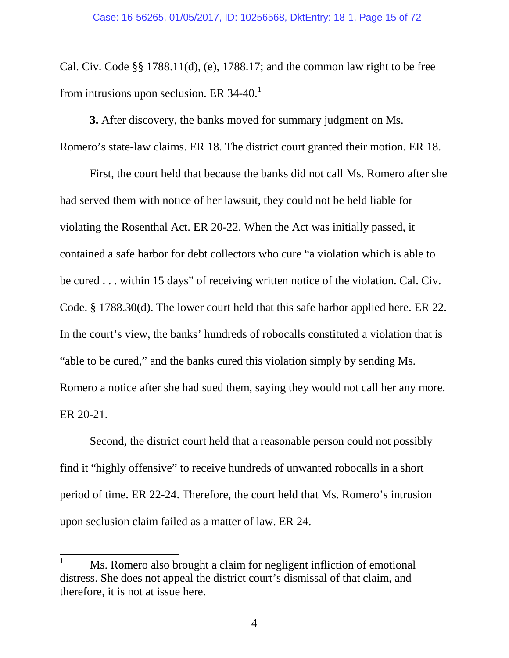Cal. Civ. Code §§ 1788.11(d), (e), 1788.17; and the common law right to be free from intrusions upon seclusion. ER 34-40. $<sup>1</sup>$  $<sup>1</sup>$  $<sup>1</sup>$ </sup>

**3.** After discovery, the banks moved for summary judgment on Ms. Romero's state-law claims. ER 18. The district court granted their motion. ER 18.

First, the court held that because the banks did not call Ms. Romero after she had served them with notice of her lawsuit, they could not be held liable for violating the Rosenthal Act. ER 20-22. When the Act was initially passed, it contained a safe harbor for debt collectors who cure "a violation which is able to be cured . . . within 15 days" of receiving written notice of the violation. Cal. Civ. Code. § 1788.30(d). The lower court held that this safe harbor applied here. ER 22. In the court's view, the banks' hundreds of robocalls constituted a violation that is "able to be cured," and the banks cured this violation simply by sending Ms. Romero a notice after she had sued them, saying they would not call her any more. ER 20-21.

Second, the district court held that a reasonable person could not possibly find it "highly offensive" to receive hundreds of unwanted robocalls in a short period of time. ER 22-24. Therefore, the court held that Ms. Romero's intrusion upon seclusion claim failed as a matter of law. ER 24.

<span id="page-14-0"></span><sup>&</sup>lt;sup>1</sup> Ms. Romero also brought a claim for negligent infliction of emotional distress. She does not appeal the district court's dismissal of that claim, and therefore, it is not at issue here.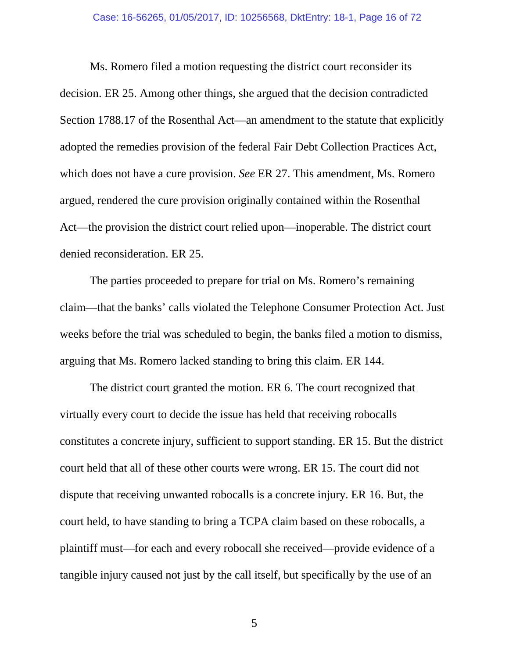Ms. Romero filed a motion requesting the district court reconsider its decision. ER 25. Among other things, she argued that the decision contradicted Section 1788.17 of the Rosenthal Act—an amendment to the statute that explicitly adopted the remedies provision of the federal Fair Debt Collection Practices Act, which does not have a cure provision. *See* ER 27. This amendment, Ms. Romero argued, rendered the cure provision originally contained within the Rosenthal Act—the provision the district court relied upon—inoperable. The district court denied reconsideration. ER 25.

The parties proceeded to prepare for trial on Ms. Romero's remaining claim—that the banks' calls violated the Telephone Consumer Protection Act. Just weeks before the trial was scheduled to begin, the banks filed a motion to dismiss, arguing that Ms. Romero lacked standing to bring this claim. ER 144.

The district court granted the motion. ER 6. The court recognized that virtually every court to decide the issue has held that receiving robocalls constitutes a concrete injury, sufficient to support standing. ER 15. But the district court held that all of these other courts were wrong. ER 15. The court did not dispute that receiving unwanted robocalls is a concrete injury. ER 16. But, the court held, to have standing to bring a TCPA claim based on these robocalls, a plaintiff must—for each and every robocall she received—provide evidence of a tangible injury caused not just by the call itself, but specifically by the use of an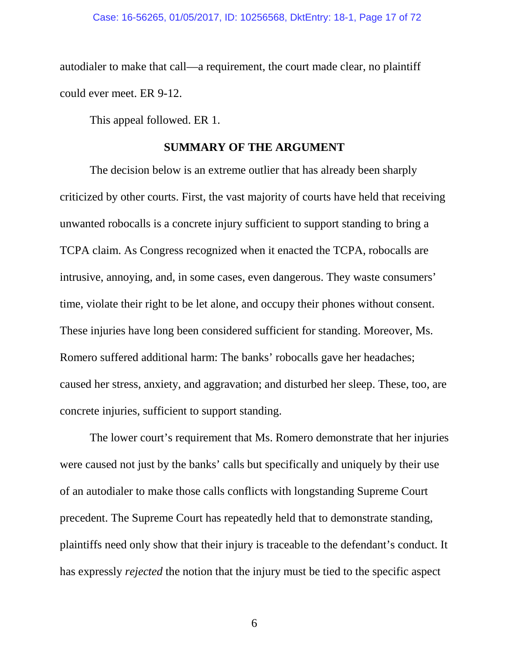autodialer to make that call—a requirement, the court made clear, no plaintiff could ever meet. ER 9-12.

This appeal followed. ER 1.

#### **SUMMARY OF THE ARGUMENT**

The decision below is an extreme outlier that has already been sharply criticized by other courts. First, the vast majority of courts have held that receiving unwanted robocalls is a concrete injury sufficient to support standing to bring a TCPA claim. As Congress recognized when it enacted the TCPA, robocalls are intrusive, annoying, and, in some cases, even dangerous. They waste consumers' time, violate their right to be let alone, and occupy their phones without consent. These injuries have long been considered sufficient for standing. Moreover, Ms. Romero suffered additional harm: The banks' robocalls gave her headaches; caused her stress, anxiety, and aggravation; and disturbed her sleep. These, too, are concrete injuries, sufficient to support standing.

The lower court's requirement that Ms. Romero demonstrate that her injuries were caused not just by the banks' calls but specifically and uniquely by their use of an autodialer to make those calls conflicts with longstanding Supreme Court precedent. The Supreme Court has repeatedly held that to demonstrate standing, plaintiffs need only show that their injury is traceable to the defendant's conduct. It has expressly *rejected* the notion that the injury must be tied to the specific aspect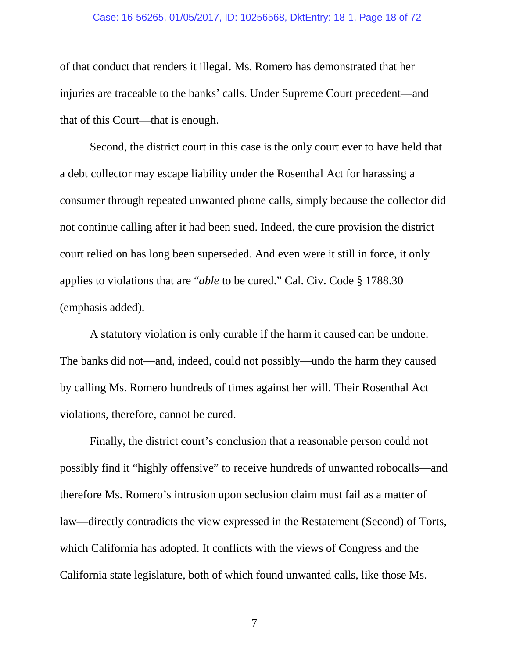#### Case: 16-56265, 01/05/2017, ID: 10256568, DktEntry: 18-1, Page 18 of 72

of that conduct that renders it illegal. Ms. Romero has demonstrated that her injuries are traceable to the banks' calls. Under Supreme Court precedent—and that of this Court—that is enough.

Second, the district court in this case is the only court ever to have held that a debt collector may escape liability under the Rosenthal Act for harassing a consumer through repeated unwanted phone calls, simply because the collector did not continue calling after it had been sued. Indeed, the cure provision the district court relied on has long been superseded. And even were it still in force, it only applies to violations that are "*able* to be cured." Cal. Civ. Code § 1788.30 (emphasis added).

A statutory violation is only curable if the harm it caused can be undone. The banks did not—and, indeed, could not possibly—undo the harm they caused by calling Ms. Romero hundreds of times against her will. Their Rosenthal Act violations, therefore, cannot be cured.

Finally, the district court's conclusion that a reasonable person could not possibly find it "highly offensive" to receive hundreds of unwanted robocalls—and therefore Ms. Romero's intrusion upon seclusion claim must fail as a matter of law—directly contradicts the view expressed in the Restatement (Second) of Torts, which California has adopted. It conflicts with the views of Congress and the California state legislature, both of which found unwanted calls, like those Ms.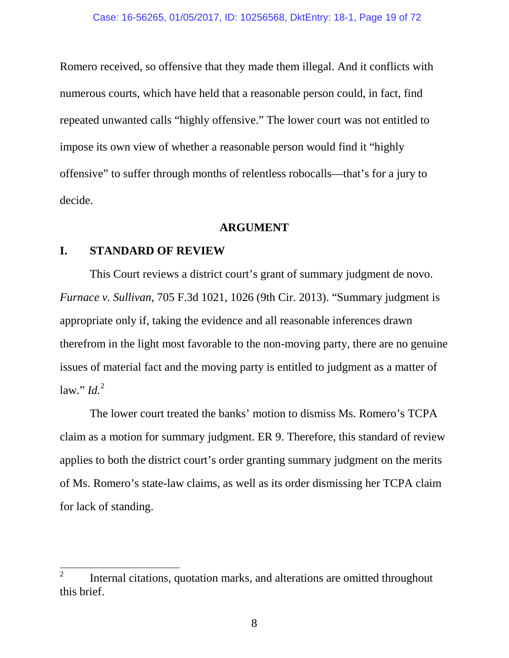Romero received, so offensive that they made them illegal. And it conflicts with numerous courts, which have held that a reasonable person could, in fact, find repeated unwanted calls "highly offensive." The lower court was not entitled to impose its own view of whether a reasonable person would find it "highly offensive" to suffer through months of relentless robocalls—that's for a jury to decide.

#### **ARGUMENT**

### **I. STANDARD OF REVIEW**

<span id="page-18-0"></span>This Court reviews a district court's grant of summary judgment de novo. *Furnace v. Sullivan*, 705 F.3d 1021, 1026 (9th Cir. 2013). "Summary judgment is appropriate only if, taking the evidence and all reasonable inferences drawn therefrom in the light most favorable to the non-moving party, there are no genuine issues of material fact and the moving party is entitled to judgment as a matter of  $\int$ law."  $\int$ *ld.*<sup>[2](#page-18-1)</sup>

The lower court treated the banks' motion to dismiss Ms. Romero's TCPA claim as a motion for summary judgment. ER 9. Therefore, this standard of review applies to both the district court's order granting summary judgment on the merits of Ms. Romero's state-law claims, as well as its order dismissing her TCPA claim for lack of standing.

<span id="page-18-1"></span><sup>&</sup>lt;sup>2</sup> Internal citations, quotation marks, and alterations are omitted throughout this brief.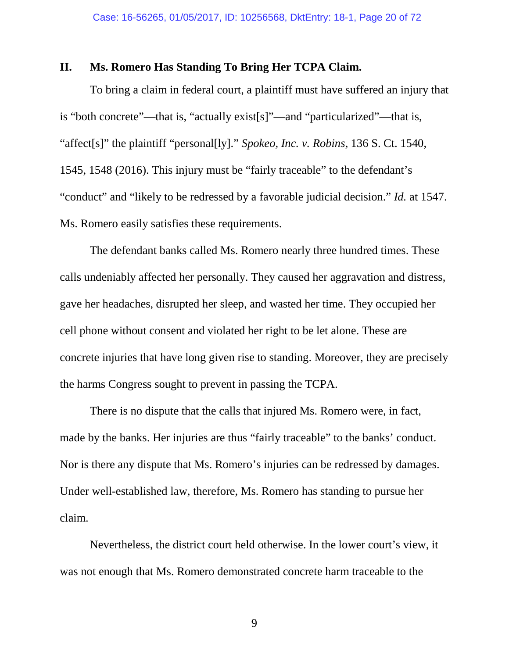#### **II. Ms. Romero Has Standing To Bring Her TCPA Claim.**

<span id="page-19-0"></span>To bring a claim in federal court, a plaintiff must have suffered an injury that is "both concrete"—that is, "actually exist[s]"—and "particularized"—that is, "affect[s]" the plaintiff "personal[ly]." *Spokeo, Inc. v. Robins*, 136 S. Ct. 1540, 1545, 1548 (2016). This injury must be "fairly traceable" to the defendant's "conduct" and "likely to be redressed by a favorable judicial decision." *Id.* at 1547. Ms. Romero easily satisfies these requirements.

The defendant banks called Ms. Romero nearly three hundred times. These calls undeniably affected her personally. They caused her aggravation and distress, gave her headaches, disrupted her sleep, and wasted her time. They occupied her cell phone without consent and violated her right to be let alone. These are concrete injuries that have long given rise to standing. Moreover, they are precisely the harms Congress sought to prevent in passing the TCPA.

There is no dispute that the calls that injured Ms. Romero were, in fact, made by the banks. Her injuries are thus "fairly traceable" to the banks' conduct. Nor is there any dispute that Ms. Romero's injuries can be redressed by damages. Under well-established law, therefore, Ms. Romero has standing to pursue her claim.

Nevertheless, the district court held otherwise. In the lower court's view, it was not enough that Ms. Romero demonstrated concrete harm traceable to the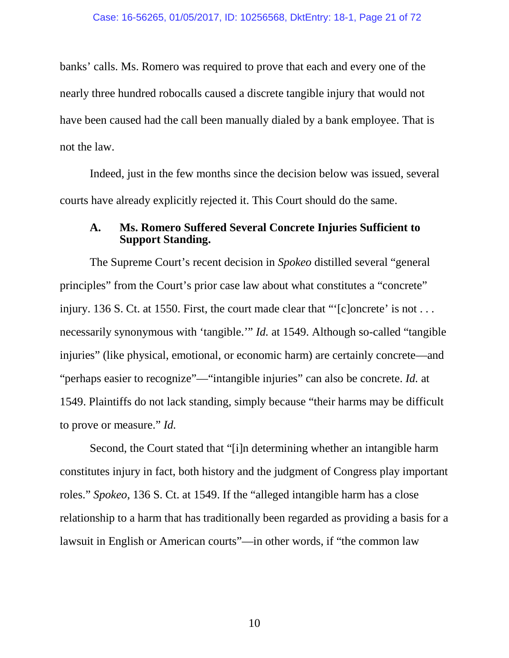banks' calls. Ms. Romero was required to prove that each and every one of the nearly three hundred robocalls caused a discrete tangible injury that would not have been caused had the call been manually dialed by a bank employee. That is not the law.

Indeed, just in the few months since the decision below was issued, several courts have already explicitly rejected it. This Court should do the same.

### **A. Ms. Romero Suffered Several Concrete Injuries Sufficient to Support Standing.**

The Supreme Court's recent decision in *Spokeo* distilled several "general principles" from the Court's prior case law about what constitutes a "concrete" injury. 136 S. Ct. at 1550. First, the court made clear that "'[c]oncrete' is not ... necessarily synonymous with 'tangible.'" *Id.* at 1549. Although so-called "tangible injuries" (like physical, emotional, or economic harm) are certainly concrete—and "perhaps easier to recognize"—"intangible injuries" can also be concrete. *Id.* at 1549. Plaintiffs do not lack standing, simply because "their harms may be difficult to prove or measure." *Id.*

Second, the Court stated that "[i]n determining whether an intangible harm constitutes injury in fact, both history and the judgment of Congress play important roles." *Spokeo*, 136 S. Ct. at 1549. If the "alleged intangible harm has a close relationship to a harm that has traditionally been regarded as providing a basis for a lawsuit in English or American courts"—in other words, if "the common law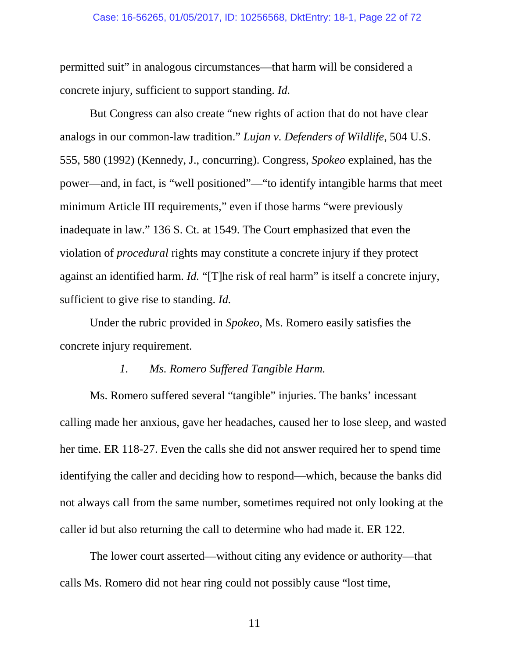#### Case: 16-56265, 01/05/2017, ID: 10256568, DktEntry: 18-1, Page 22 of 72

permitted suit" in analogous circumstances—that harm will be considered a concrete injury, sufficient to support standing. *Id.*

<span id="page-21-0"></span>But Congress can also create "new rights of action that do not have clear analogs in our common-law tradition." *Lujan v. Defenders of Wildlife*, 504 U.S. 555, 580 (1992) (Kennedy, J., concurring). Congress, *Spokeo* explained, has the power—and, in fact, is "well positioned"—"to identify intangible harms that meet minimum Article III requirements," even if those harms "were previously inadequate in law." 136 S. Ct. at 1549. The Court emphasized that even the violation of *procedural* rights may constitute a concrete injury if they protect against an identified harm. *Id.* "[T]he risk of real harm" is itself a concrete injury, sufficient to give rise to standing. *Id.*

Under the rubric provided in *Spokeo*, Ms. Romero easily satisfies the concrete injury requirement.

#### *1. Ms. Romero Suffered Tangible Harm.*

Ms. Romero suffered several "tangible" injuries. The banks' incessant calling made her anxious, gave her headaches, caused her to lose sleep, and wasted her time. ER 118-27. Even the calls she did not answer required her to spend time identifying the caller and deciding how to respond—which, because the banks did not always call from the same number, sometimes required not only looking at the caller id but also returning the call to determine who had made it. ER 122.

The lower court asserted—without citing any evidence or authority—that calls Ms. Romero did not hear ring could not possibly cause "lost time,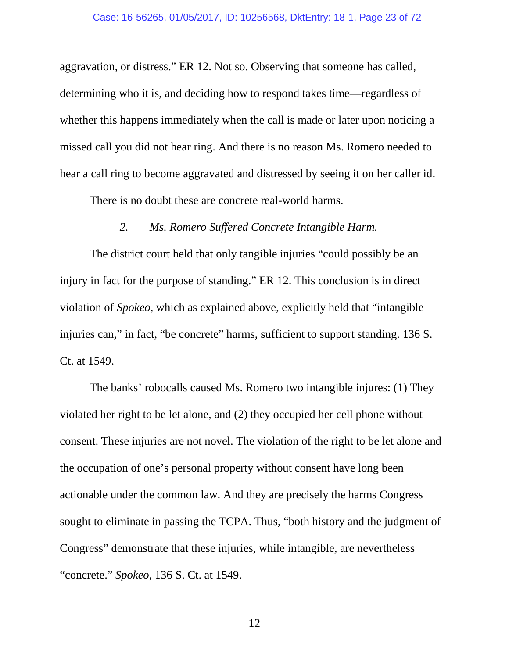aggravation, or distress." ER 12. Not so. Observing that someone has called, determining who it is, and deciding how to respond takes time—regardless of whether this happens immediately when the call is made or later upon noticing a missed call you did not hear ring. And there is no reason Ms. Romero needed to hear a call ring to become aggravated and distressed by seeing it on her caller id.

There is no doubt these are concrete real-world harms.

# *2. Ms. Romero Suffered Concrete Intangible Harm.*

The district court held that only tangible injuries "could possibly be an injury in fact for the purpose of standing." ER 12. This conclusion is in direct violation of *Spokeo*, which as explained above, explicitly held that "intangible injuries can," in fact, "be concrete" harms, sufficient to support standing. 136 S. Ct. at 1549.

The banks' robocalls caused Ms. Romero two intangible injures: (1) They violated her right to be let alone, and (2) they occupied her cell phone without consent. These injuries are not novel. The violation of the right to be let alone and the occupation of one's personal property without consent have long been actionable under the common law. And they are precisely the harms Congress sought to eliminate in passing the TCPA. Thus, "both history and the judgment of Congress" demonstrate that these injuries, while intangible, are nevertheless "concrete." *Spokeo*, 136 S. Ct. at 1549.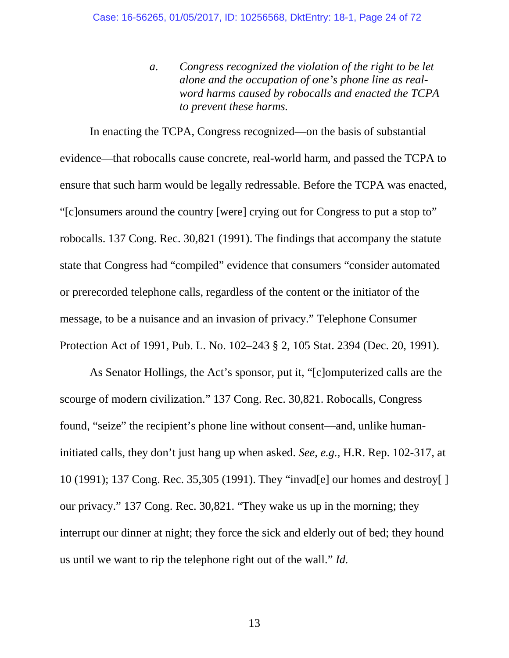*a. Congress recognized the violation of the right to be let alone and the occupation of one's phone line as realword harms caused by robocalls and enacted the TCPA to prevent these harms.*

<span id="page-23-0"></span>In enacting the TCPA, Congress recognized—on the basis of substantial evidence—that robocalls cause concrete, real-world harm, and passed the TCPA to ensure that such harm would be legally redressable. Before the TCPA was enacted, "[c]onsumers around the country [were] crying out for Congress to put a stop to" robocalls. 137 Cong. Rec. 30,821 (1991). The findings that accompany the statute state that Congress had "compiled" evidence that consumers "consider automated or prerecorded telephone calls, regardless of the content or the initiator of the message, to be a nuisance and an invasion of privacy." Telephone Consumer Protection Act of 1991, Pub. L. No. 102–243 § 2, 105 Stat. 2394 (Dec. 20, 1991).

<span id="page-23-1"></span>As Senator Hollings, the Act's sponsor, put it, "[c]omputerized calls are the scourge of modern civilization." 137 Cong. Rec. 30,821. Robocalls, Congress found, "seize" the recipient's phone line without consent—and, unlike humaninitiated calls, they don't just hang up when asked. *See, e.g.*, H.R. Rep. 102-317, at 10 (1991); 137 Cong. Rec. 35,305 (1991). They "invad[e] our homes and destroy[ ] our privacy." 137 Cong. Rec. 30,821. "They wake us up in the morning; they interrupt our dinner at night; they force the sick and elderly out of bed; they hound us until we want to rip the telephone right out of the wall." *Id.*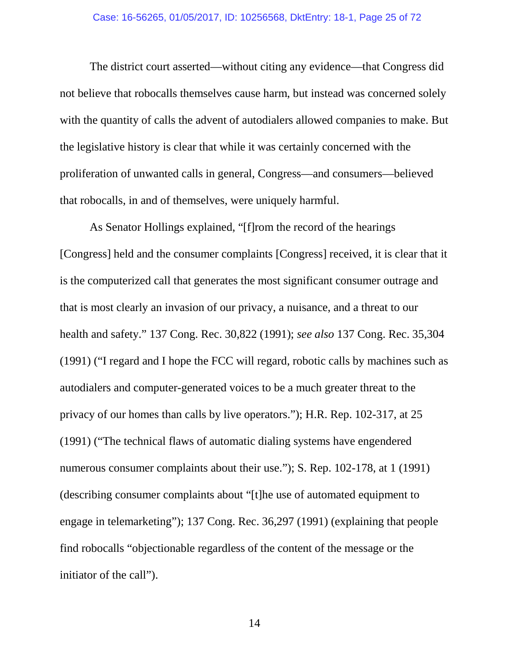The district court asserted—without citing any evidence—that Congress did not believe that robocalls themselves cause harm, but instead was concerned solely with the quantity of calls the advent of autodialers allowed companies to make. But the legislative history is clear that while it was certainly concerned with the proliferation of unwanted calls in general, Congress—and consumers—believed that robocalls, in and of themselves, were uniquely harmful.

<span id="page-24-2"></span><span id="page-24-1"></span><span id="page-24-0"></span>As Senator Hollings explained, "[f]rom the record of the hearings [Congress] held and the consumer complaints [Congress] received, it is clear that it is the computerized call that generates the most significant consumer outrage and that is most clearly an invasion of our privacy, a nuisance, and a threat to our health and safety." 137 Cong. Rec. 30,822 (1991); *see also* 137 Cong. Rec. 35,304 (1991) ("I regard and I hope the FCC will regard, robotic calls by machines such as autodialers and computer-generated voices to be a much greater threat to the privacy of our homes than calls by live operators."); H.R. Rep. 102-317, at 25 (1991) ("The technical flaws of automatic dialing systems have engendered numerous consumer complaints about their use."); S. Rep. 102-178, at 1 (1991) (describing consumer complaints about "[t]he use of automated equipment to engage in telemarketing"); 137 Cong. Rec. 36,297 (1991) (explaining that people find robocalls "objectionable regardless of the content of the message or the initiator of the call").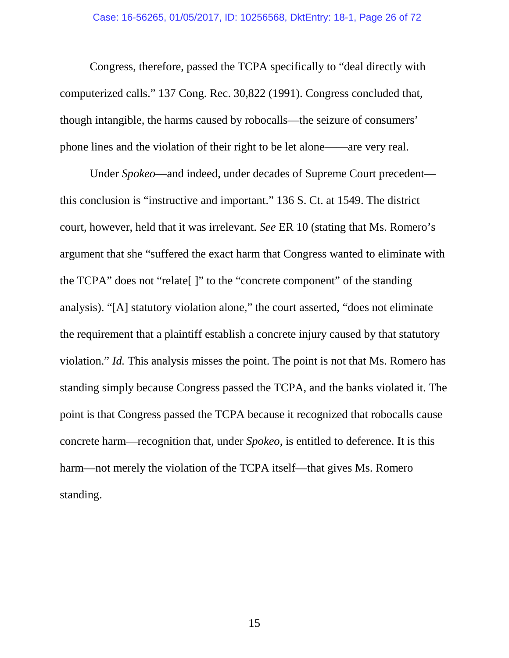Congress, therefore, passed the TCPA specifically to "deal directly with computerized calls." 137 Cong. Rec. 30,822 (1991). Congress concluded that, though intangible, the harms caused by robocalls—the seizure of consumers' phone lines and the violation of their right to be let alone——are very real.

Under *Spokeo*—and indeed, under decades of Supreme Court precedent this conclusion is "instructive and important." 136 S. Ct. at 1549. The district court, however, held that it was irrelevant. *See* ER 10 (stating that Ms. Romero's argument that she "suffered the exact harm that Congress wanted to eliminate with the TCPA" does not "relate[ ]" to the "concrete component" of the standing analysis). "[A] statutory violation alone," the court asserted, "does not eliminate the requirement that a plaintiff establish a concrete injury caused by that statutory violation." *Id.* This analysis misses the point. The point is not that Ms. Romero has standing simply because Congress passed the TCPA, and the banks violated it. The point is that Congress passed the TCPA because it recognized that robocalls cause concrete harm—recognition that, under *Spokeo*, is entitled to deference. It is this harm—not merely the violation of the TCPA itself—that gives Ms. Romero standing.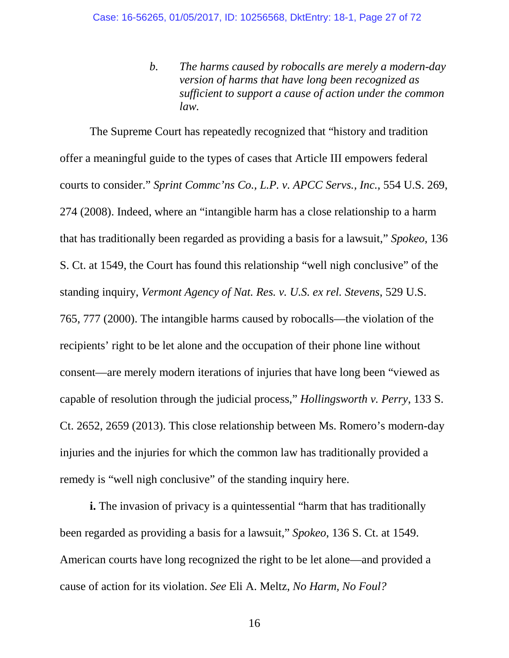*b. The harms caused by robocalls are merely a modern-day version of harms that have long been recognized as sufficient to support a cause of action under the common law.*

<span id="page-26-2"></span><span id="page-26-1"></span>The Supreme Court has repeatedly recognized that "history and tradition offer a meaningful guide to the types of cases that Article III empowers federal courts to consider." *Sprint Commc'ns Co., L.P. v. APCC Servs., Inc.,* 554 U.S. 269, 274 (2008). Indeed, where an "intangible harm has a close relationship to a harm that has traditionally been regarded as providing a basis for a lawsuit," *Spokeo*, 136 S. Ct. at 1549, the Court has found this relationship "well nigh conclusive" of the standing inquiry, *Vermont Agency of Nat. Res. v. U.S. ex rel. Stevens*, 529 U.S. 765, 777 (2000). The intangible harms caused by robocalls—the violation of the recipients' right to be let alone and the occupation of their phone line without consent—are merely modern iterations of injuries that have long been "viewed as capable of resolution through the judicial process," *Hollingsworth v. Perry*, 133 S. Ct. 2652, 2659 (2013). This close relationship between Ms. Romero's modern-day injuries and the injuries for which the common law has traditionally provided a remedy is "well nigh conclusive" of the standing inquiry here.

<span id="page-26-3"></span><span id="page-26-0"></span>**i.** The invasion of privacy is a quintessential "harm that has traditionally been regarded as providing a basis for a lawsuit," *Spokeo*, 136 S. Ct. at 1549. American courts have long recognized the right to be let alone—and provided a cause of action for its violation. *See* Eli A. Meltz, *No Harm, No Foul?*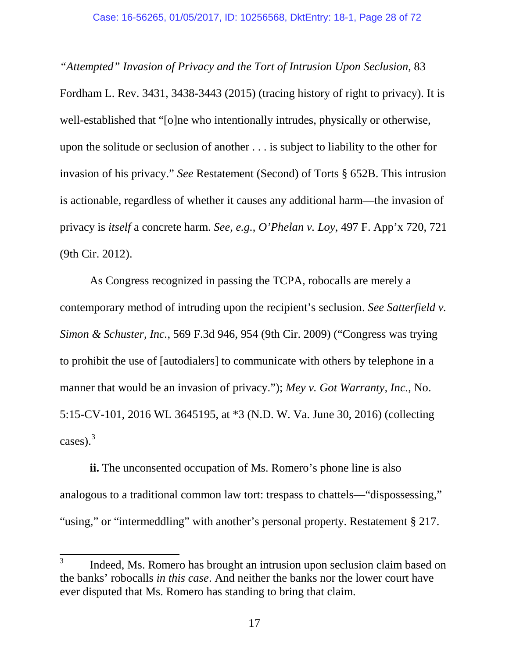*"Attempted" Invasion of Privacy and the Tort of Intrusion Upon Seclusion*, 83 Fordham L. Rev. 3431, 3438-3443 (2015) (tracing history of right to privacy). It is well-established that "[o]ne who intentionally intrudes, physically or otherwise, upon the solitude or seclusion of another . . . is subject to liability to the other for invasion of his privacy." *See* Restatement (Second) of Torts § 652B. This intrusion is actionable, regardless of whether it causes any additional harm—the invasion of privacy is *itself* a concrete harm. *See, e.g.*, *O'Phelan v. Loy*, 497 F. App'x 720, 721 (9th Cir. 2012).

<span id="page-27-2"></span><span id="page-27-1"></span>As Congress recognized in passing the TCPA, robocalls are merely a contemporary method of intruding upon the recipient's seclusion. *See Satterfield v. Simon & Schuster, Inc.*, 569 F.3d 946, 954 (9th Cir. 2009) ("Congress was trying to prohibit the use of [autodialers] to communicate with others by telephone in a manner that would be an invasion of privacy."); *Mey v. Got Warranty, Inc.*, No. 5:15-CV-101, 2016 WL 3645195, at \*3 (N.D. W. Va. June 30, 2016) (collecting cases). $3$ 

<span id="page-27-0"></span>**ii.** The unconsented occupation of Ms. Romero's phone line is also analogous to a traditional common law tort: trespass to chattels—"dispossessing," "using," or "intermeddling" with another's personal property. Restatement § 217.

<span id="page-27-3"></span><sup>&</sup>lt;sup>3</sup> Indeed, Ms. Romero has brought an intrusion upon seclusion claim based on the banks' robocalls *in this case*. And neither the banks nor the lower court have ever disputed that Ms. Romero has standing to bring that claim.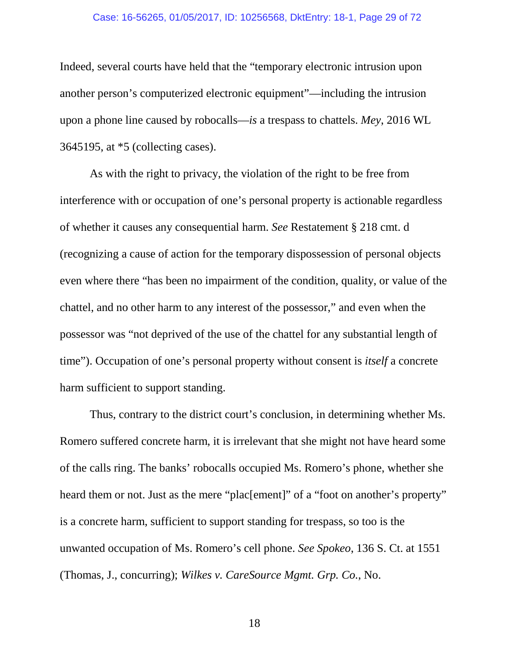#### Case: 16-56265, 01/05/2017, ID: 10256568, DktEntry: 18-1, Page 29 of 72

Indeed, several courts have held that the "temporary electronic intrusion upon another person's computerized electronic equipment"—including the intrusion upon a phone line caused by robocalls—*is* a trespass to chattels. *Mey*, 2016 WL 3645195, at \*5 (collecting cases).

As with the right to privacy, the violation of the right to be free from interference with or occupation of one's personal property is actionable regardless of whether it causes any consequential harm. *See* Restatement § 218 cmt. d (recognizing a cause of action for the temporary dispossession of personal objects even where there "has been no impairment of the condition, quality, or value of the chattel, and no other harm to any interest of the possessor," and even when the possessor was "not deprived of the use of the chattel for any substantial length of time"). Occupation of one's personal property without consent is *itself* a concrete harm sufficient to support standing.

<span id="page-28-0"></span>Thus, contrary to the district court's conclusion, in determining whether Ms. Romero suffered concrete harm, it is irrelevant that she might not have heard some of the calls ring. The banks' robocalls occupied Ms. Romero's phone, whether she heard them or not. Just as the mere "plac[ement]" of a "foot on another's property" is a concrete harm, sufficient to support standing for trespass, so too is the unwanted occupation of Ms. Romero's cell phone. *See Spokeo*, 136 S. Ct. at 1551 (Thomas, J., concurring); *Wilkes v. CareSource Mgmt. Grp. Co.*, No.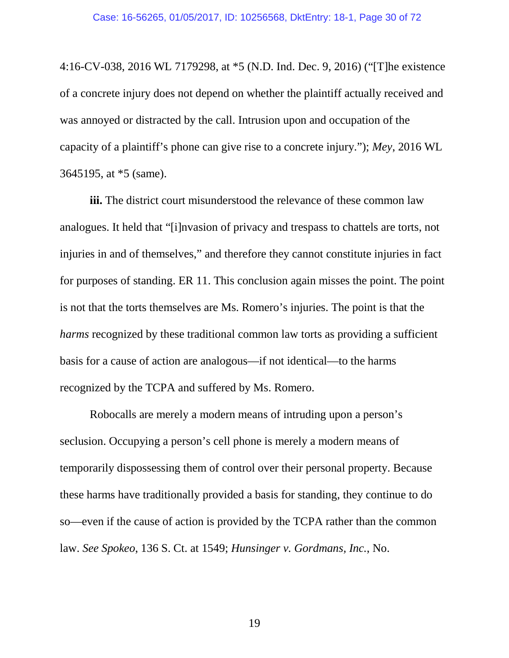4:16-CV-038, 2016 WL 7179298, at \*5 (N.D. Ind. Dec. 9, 2016) ("[T]he existence of a concrete injury does not depend on whether the plaintiff actually received and was annoyed or distracted by the call. Intrusion upon and occupation of the capacity of a plaintiff's phone can give rise to a concrete injury."); *Mey*, 2016 WL 3645195, at \*5 (same).

**iii.** The district court misunderstood the relevance of these common law analogues. It held that "[i]nvasion of privacy and trespass to chattels are torts, not injuries in and of themselves," and therefore they cannot constitute injuries in fact for purposes of standing. ER 11. This conclusion again misses the point. The point is not that the torts themselves are Ms. Romero's injuries. The point is that the *harms* recognized by these traditional common law torts as providing a sufficient basis for a cause of action are analogous—if not identical—to the harms recognized by the TCPA and suffered by Ms. Romero.

<span id="page-29-0"></span>Robocalls are merely a modern means of intruding upon a person's seclusion. Occupying a person's cell phone is merely a modern means of temporarily dispossessing them of control over their personal property. Because these harms have traditionally provided a basis for standing, they continue to do so—even if the cause of action is provided by the TCPA rather than the common law. *See Spokeo*, 136 S. Ct. at 1549; *Hunsinger v. Gordmans, Inc.*, No.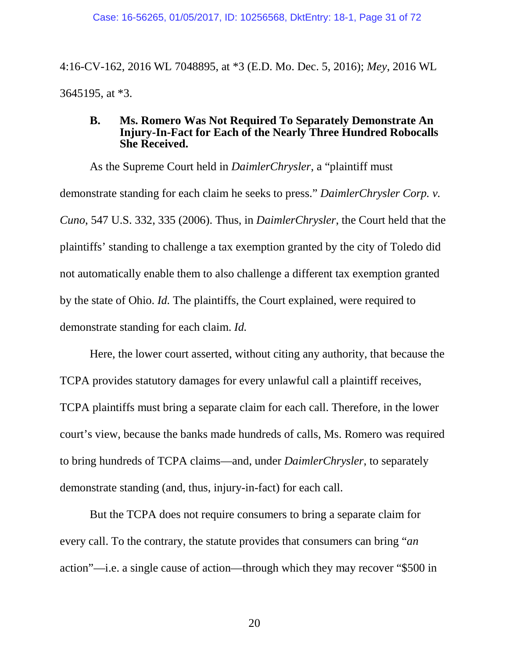4:16-CV-162, 2016 WL 7048895, at \*3 (E.D. Mo. Dec. 5, 2016); *Mey*, 2016 WL 3645195, at \*3.

#### <span id="page-30-0"></span>**B. Ms. Romero Was Not Required To Separately Demonstrate An Injury-In-Fact for Each of the Nearly Three Hundred Robocalls She Received.**

As the Supreme Court held in *DaimlerChrysler*, a "plaintiff must demonstrate standing for each claim he seeks to press." *DaimlerChrysler Corp. v. Cuno*, 547 U.S. 332, 335 (2006). Thus, in *DaimlerChrysler*, the Court held that the plaintiffs' standing to challenge a tax exemption granted by the city of Toledo did not automatically enable them to also challenge a different tax exemption granted by the state of Ohio. *Id.* The plaintiffs, the Court explained, were required to demonstrate standing for each claim. *Id.*

Here, the lower court asserted, without citing any authority, that because the TCPA provides statutory damages for every unlawful call a plaintiff receives, TCPA plaintiffs must bring a separate claim for each call. Therefore, in the lower court's view, because the banks made hundreds of calls, Ms. Romero was required to bring hundreds of TCPA claims—and, under *DaimlerChrysler*, to separately demonstrate standing (and, thus, injury-in-fact) for each call.

But the TCPA does not require consumers to bring a separate claim for every call. To the contrary, the statute provides that consumers can bring "*an*  action"—i.e. a single cause of action—through which they may recover "\$500 in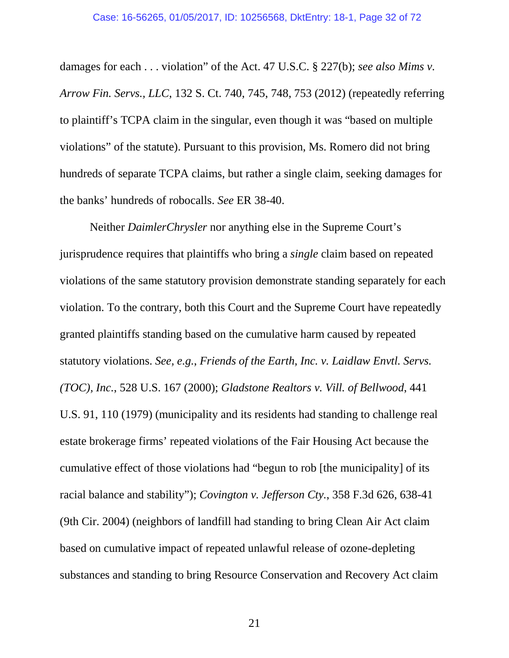<span id="page-31-4"></span>damages for each . . . violation" of the Act. 47 U.S.C. § 227(b); *see also Mims v. Arrow Fin. Servs., LLC*, 132 S. Ct. 740, 745, 748, 753 (2012) (repeatedly referring to plaintiff's TCPA claim in the singular, even though it was "based on multiple violations" of the statute). Pursuant to this provision, Ms. Romero did not bring hundreds of separate TCPA claims, but rather a single claim, seeking damages for the banks' hundreds of robocalls. *See* ER 38-40.

<span id="page-31-3"></span><span id="page-31-2"></span><span id="page-31-1"></span><span id="page-31-0"></span>Neither *DaimlerChrysler* nor anything else in the Supreme Court's jurisprudence requires that plaintiffs who bring a *single* claim based on repeated violations of the same statutory provision demonstrate standing separately for each violation. To the contrary, both this Court and the Supreme Court have repeatedly granted plaintiffs standing based on the cumulative harm caused by repeated statutory violations. *See, e.g.*, *Friends of the Earth, Inc. v. Laidlaw Envtl. Servs. (TOC), Inc.*, 528 U.S. 167 (2000); *Gladstone Realtors v. Vill. of Bellwood*, 441 U.S. 91, 110 (1979) (municipality and its residents had standing to challenge real estate brokerage firms' repeated violations of the Fair Housing Act because the cumulative effect of those violations had "begun to rob [the municipality] of its racial balance and stability"); *Covington v. Jefferson Cty.*, 358 F.3d 626, 638-41 (9th Cir. 2004) (neighbors of landfill had standing to bring Clean Air Act claim based on cumulative impact of repeated unlawful release of ozone-depleting substances and standing to bring Resource Conservation and Recovery Act claim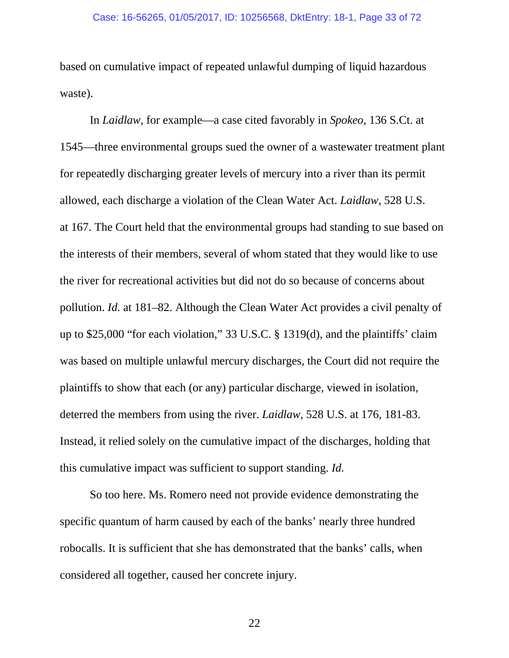based on cumulative impact of repeated unlawful dumping of liquid hazardous waste).

<span id="page-32-0"></span>In *Laidlaw*, for example—a case cited favorably in *Spokeo*, 136 S.Ct. at 1545—three environmental groups sued the owner of a wastewater treatment plant for repeatedly discharging greater levels of mercury into a river than its permit allowed, each discharge a violation of the Clean Water Act. *Laidlaw*, 528 U.S. at 167. The Court held that the environmental groups had standing to sue based on the interests of their members, several of whom stated that they would like to use the river for recreational activities but did not do so because of concerns about pollution. *Id.* at 181–82. Although the Clean Water Act provides a civil penalty of up to \$25,000 "for each violation," 33 U.S.C. § 1319(d), and the plaintiffs' claim was based on multiple unlawful mercury discharges, the Court did not require the plaintiffs to show that each (or any) particular discharge, viewed in isolation, deterred the members from using the river. *Laidlaw*, 528 U.S. at 176, 181-83. Instead, it relied solely on the cumulative impact of the discharges, holding that this cumulative impact was sufficient to support standing. *Id.* 

<span id="page-32-1"></span>So too here. Ms. Romero need not provide evidence demonstrating the specific quantum of harm caused by each of the banks' nearly three hundred robocalls. It is sufficient that she has demonstrated that the banks' calls, when considered all together, caused her concrete injury.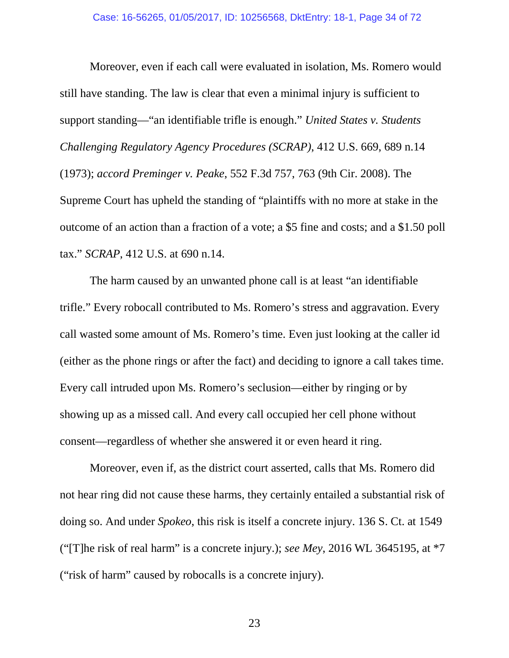<span id="page-33-1"></span><span id="page-33-0"></span>Moreover, even if each call were evaluated in isolation, Ms. Romero would still have standing. The law is clear that even a minimal injury is sufficient to support standing—"an identifiable trifle is enough." *United States v. Students Challenging Regulatory Agency Procedures (SCRAP)*, 412 U.S. 669, 689 n.14 (1973); *accord Preminger v. Peake*, 552 F.3d 757, 763 (9th Cir. 2008). The Supreme Court has upheld the standing of "plaintiffs with no more at stake in the outcome of an action than a fraction of a vote; a \$5 fine and costs; and a \$1.50 poll tax." *SCRAP*, 412 U.S. at 690 n.14.

The harm caused by an unwanted phone call is at least "an identifiable trifle." Every robocall contributed to Ms. Romero's stress and aggravation. Every call wasted some amount of Ms. Romero's time. Even just looking at the caller id (either as the phone rings or after the fact) and deciding to ignore a call takes time. Every call intruded upon Ms. Romero's seclusion—either by ringing or by showing up as a missed call. And every call occupied her cell phone without consent—regardless of whether she answered it or even heard it ring.

Moreover, even if, as the district court asserted, calls that Ms. Romero did not hear ring did not cause these harms, they certainly entailed a substantial risk of doing so. And under *Spokeo*, this risk is itself a concrete injury. 136 S. Ct. at 1549 ("[T]he risk of real harm" is a concrete injury.); *see Mey*, 2016 WL 3645195, at \*7 ("risk of harm" caused by robocalls is a concrete injury).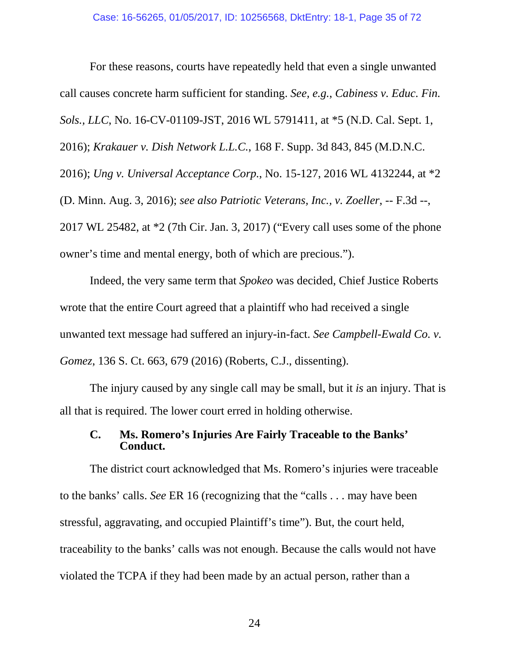<span id="page-34-4"></span><span id="page-34-2"></span><span id="page-34-0"></span>For these reasons, courts have repeatedly held that even a single unwanted call causes concrete harm sufficient for standing. *See, e.g.*, *Cabiness v. Educ. Fin. Sols., LLC*, No. 16-CV-01109-JST, 2016 WL 5791411, at \*5 (N.D. Cal. Sept. 1, 2016); *Krakauer v. Dish Network L.L.C.*, 168 F. Supp. 3d 843, 845 (M.D.N.C. 2016); *Ung v. Universal Acceptance Corp.*, No. 15-127, 2016 WL 4132244, at \*2 (D. Minn. Aug. 3, 2016); *see also Patriotic Veterans, Inc., v. Zoeller*, -- F.3d --, 2017 WL 25482, at \*2 (7th Cir. Jan. 3, 2017) ("Every call uses some of the phone owner's time and mental energy, both of which are precious.").

<span id="page-34-3"></span>Indeed, the very same term that *Spokeo* was decided, Chief Justice Roberts wrote that the entire Court agreed that a plaintiff who had received a single unwanted text message had suffered an injury-in-fact. *See Campbell-Ewald Co. v. Gomez*, 136 S. Ct. 663, 679 (2016) (Roberts, C.J., dissenting).

The injury caused by any single call may be small, but it *is* an injury. That is all that is required. The lower court erred in holding otherwise.

## <span id="page-34-1"></span>**C. Ms. Romero's Injuries Are Fairly Traceable to the Banks' Conduct.**

The district court acknowledged that Ms. Romero's injuries were traceable to the banks' calls. *See* ER 16 (recognizing that the "calls . . . may have been stressful, aggravating, and occupied Plaintiff's time"). But, the court held, traceability to the banks' calls was not enough. Because the calls would not have violated the TCPA if they had been made by an actual person, rather than a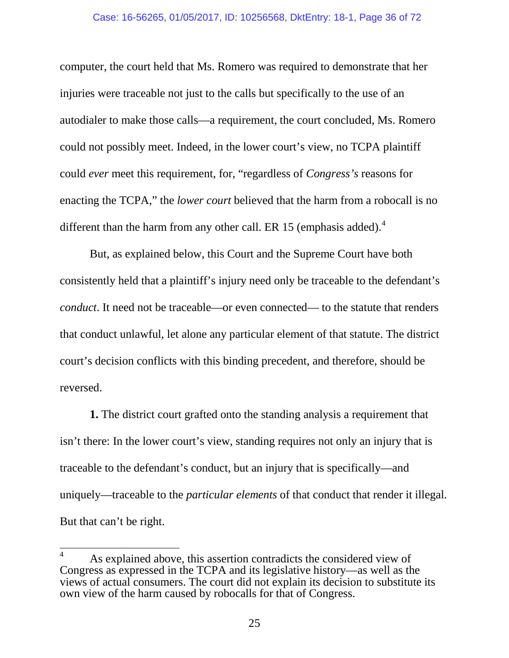computer, the court held that Ms. Romero was required to demonstrate that her injuries were traceable not just to the calls but specifically to the use of an autodialer to make those calls—a requirement, the court concluded, Ms. Romero could not possibly meet. Indeed, in the lower court's view, no TCPA plaintiff could *ever* meet this requirement, for, "regardless of *Congress's* reasons for enacting the TCPA," the *lower court* believed that the harm from a robocall is no different than the harm from any other call. ER 15 (emphasis added). $<sup>4</sup>$  $<sup>4</sup>$  $<sup>4</sup>$ </sup>

But, as explained below, this Court and the Supreme Court have both consistently held that a plaintiff's injury need only be traceable to the defendant's *conduct*. It need not be traceable—or even connected— to the statute that renders that conduct unlawful, let alone any particular element of that statute. The district court's decision conflicts with this binding precedent, and therefore, should be reversed.

**1.** The district court grafted onto the standing analysis a requirement that isn't there: In the lower court's view, standing requires not only an injury that is traceable to the defendant's conduct, but an injury that is specifically—and uniquely—traceable to the *particular elements* of that conduct that render it illegal. But that can't be right.

<span id="page-35-0"></span>As explained above, this assertion contradicts the considered view of Congress as expressed in the TCPA and its legislative history—as well as the views of actual consumers. The court did not explain its decision to substitute its own view of the harm caused by robocalls for that of Congress.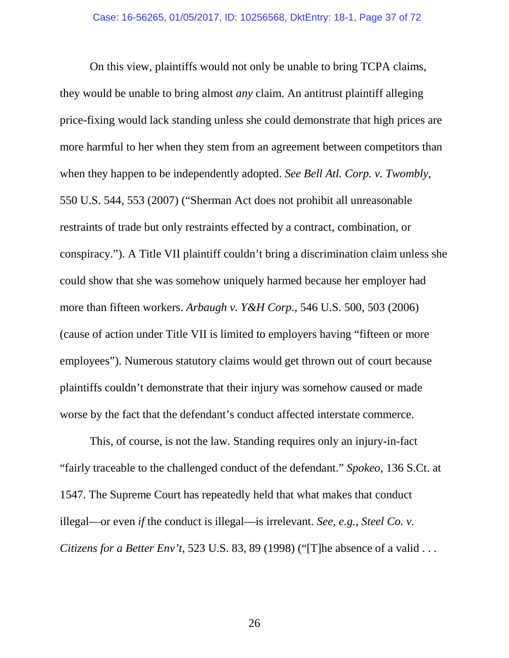On this view, plaintiffs would not only be unable to bring TCPA claims, they would be unable to bring almost *any* claim. An antitrust plaintiff alleging price-fixing would lack standing unless she could demonstrate that high prices are more harmful to her when they stem from an agreement between competitors than when they happen to be independently adopted. *See Bell Atl. Corp. v. Twombly*, 550 U.S. 544, 553 (2007) ("Sherman Act does not prohibit all unreasonable restraints of trade but only restraints effected by a contract, combination, or conspiracy."). A Title VII plaintiff couldn't bring a discrimination claim unless she could show that she was somehow uniquely harmed because her employer had more than fifteen workers. *Arbaugh v. Y&H Corp.*, 546 U.S. 500, 503 (2006) (cause of action under Title VII is limited to employers having "fifteen or more employees"). Numerous statutory claims would get thrown out of court because plaintiffs couldn't demonstrate that their injury was somehow caused or made worse by the fact that the defendant's conduct affected interstate commerce.

This, of course, is not the law. Standing requires only an injury-in-fact "fairly traceable to the challenged conduct of the defendant." *Spokeo,* 136 S.Ct. at 1547. The Supreme Court has repeatedly held that what makes that conduct illegal—or even *if* the conduct is illegal—is irrelevant. *See, e.g.*, *Steel Co. v. Citizens for a Better Env't*, 523 U.S. 83, 89 (1998) ("[T]he absence of a valid . . .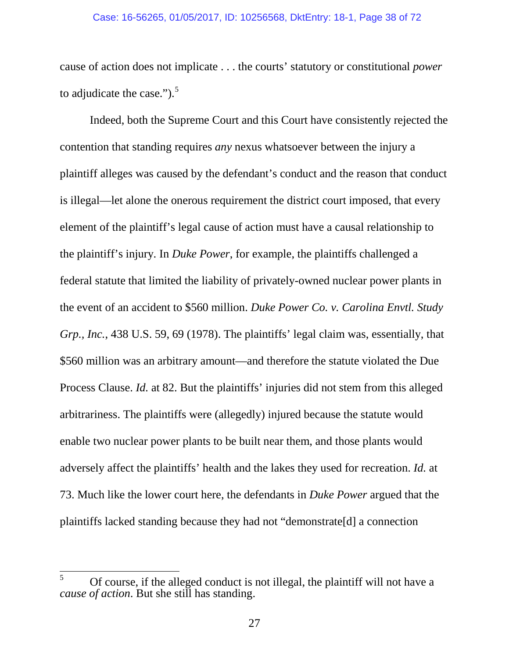### Case: 16-56265, 01/05/2017, ID: 10256568, DktEntry: 18-1, Page 38 of 72

cause of action does not implicate . . . the courts' statutory or constitutional *power* to adjudicate the case." $)$ .<sup>[5](#page-37-0)</sup>

Indeed, both the Supreme Court and this Court have consistently rejected the contention that standing requires *any* nexus whatsoever between the injury a plaintiff alleges was caused by the defendant's conduct and the reason that conduct is illegal—let alone the onerous requirement the district court imposed, that every element of the plaintiff's legal cause of action must have a causal relationship to the plaintiff's injury. In *Duke Power*, for example, the plaintiffs challenged a federal statute that limited the liability of privately-owned nuclear power plants in the event of an accident to \$560 million. *Duke Power Co. v. Carolina Envtl. Study Grp., Inc.*, 438 U.S. 59, 69 (1978). The plaintiffs' legal claim was, essentially, that \$560 million was an arbitrary amount—and therefore the statute violated the Due Process Clause. *Id.* at 82. But the plaintiffs' injuries did not stem from this alleged arbitrariness. The plaintiffs were (allegedly) injured because the statute would enable two nuclear power plants to be built near them, and those plants would adversely affect the plaintiffs' health and the lakes they used for recreation. *Id.* at 73. Much like the lower court here, the defendants in *Duke Power* argued that the plaintiffs lacked standing because they had not "demonstrate[d] a connection

<span id="page-37-0"></span> $5$  Of course, if the alleged conduct is not illegal, the plaintiff will not have a *cause of action*. But she still has standing.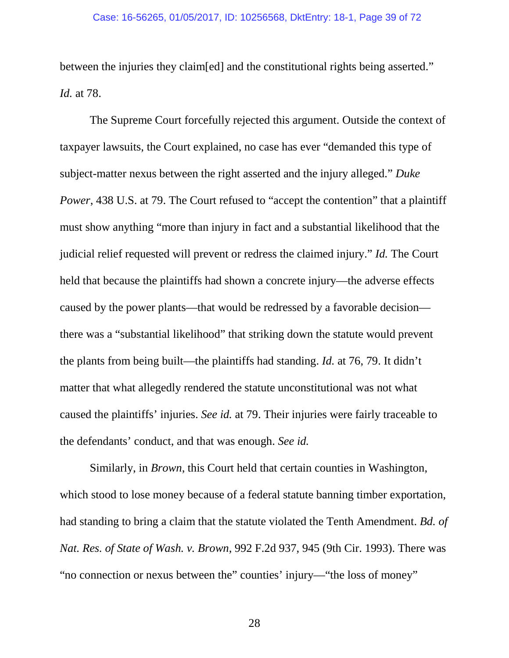between the injuries they claim[ed] and the constitutional rights being asserted." *Id.* at 78.

The Supreme Court forcefully rejected this argument. Outside the context of taxpayer lawsuits, the Court explained, no case has ever "demanded this type of subject-matter nexus between the right asserted and the injury alleged." *Duke Power*, 438 U.S. at 79. The Court refused to "accept the contention" that a plaintiff must show anything "more than injury in fact and a substantial likelihood that the judicial relief requested will prevent or redress the claimed injury." *Id.* The Court held that because the plaintiffs had shown a concrete injury—the adverse effects caused by the power plants—that would be redressed by a favorable decision there was a "substantial likelihood" that striking down the statute would prevent the plants from being built—the plaintiffs had standing. *Id.* at 76, 79. It didn't matter that what allegedly rendered the statute unconstitutional was not what caused the plaintiffs' injuries. *See id.* at 79. Their injuries were fairly traceable to the defendants' conduct, and that was enough. *See id.*

Similarly, in *Brown*, this Court held that certain counties in Washington, which stood to lose money because of a federal statute banning timber exportation, had standing to bring a claim that the statute violated the Tenth Amendment. *Bd. of Nat. Res. of State of Wash. v. Brown*, 992 F.2d 937, 945 (9th Cir. 1993). There was "no connection or nexus between the" counties' injury—"the loss of money"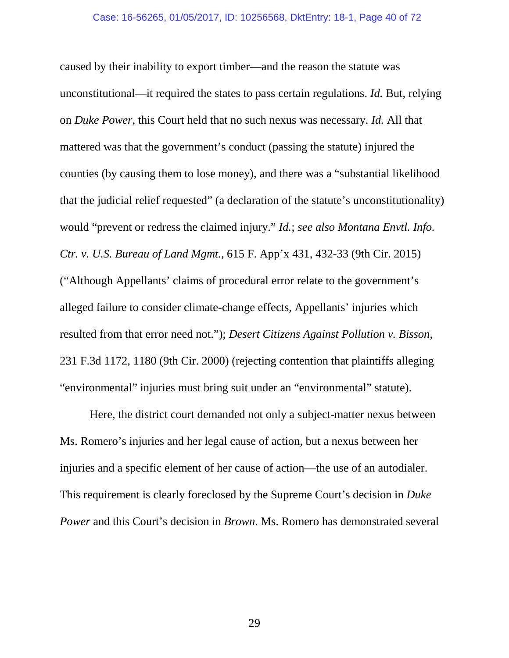caused by their inability to export timber—and the reason the statute was unconstitutional—it required the states to pass certain regulations. *Id.* But, relying on *Duke Power*, this Court held that no such nexus was necessary. *Id.* All that mattered was that the government's conduct (passing the statute) injured the counties (by causing them to lose money), and there was a "substantial likelihood that the judicial relief requested" (a declaration of the statute's unconstitutionality) would "prevent or redress the claimed injury." *Id.*; *see also Montana Envtl. Info. Ctr. v. U.S. Bureau of Land Mgmt.*, 615 F. App'x 431, 432-33 (9th Cir. 2015) ("Although Appellants' claims of procedural error relate to the government's alleged failure to consider climate-change effects, Appellants' injuries which resulted from that error need not."); *Desert Citizens Against Pollution v. Bisson*, 231 F.3d 1172, 1180 (9th Cir. 2000) (rejecting contention that plaintiffs alleging "environmental" injuries must bring suit under an "environmental" statute).

Here, the district court demanded not only a subject-matter nexus between Ms. Romero's injuries and her legal cause of action, but a nexus between her injuries and a specific element of her cause of action—the use of an autodialer. This requirement is clearly foreclosed by the Supreme Court's decision in *Duke Power* and this Court's decision in *Brown*. Ms. Romero has demonstrated several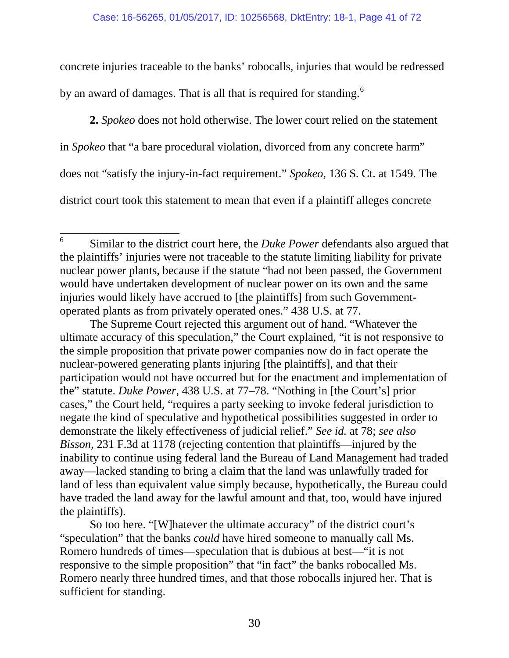concrete injuries traceable to the banks' robocalls, injuries that would be redressed by an award of damages. That is all that is required for standing.<sup>[6](#page-40-0)</sup>

**2.** *Spokeo* does not hold otherwise. The lower court relied on the statement in *Spokeo* that "a bare procedural violation, divorced from any concrete harm" does not "satisfy the injury-in-fact requirement." *Spokeo*, 136 S. Ct. at 1549. The district court took this statement to mean that even if a plaintiff alleges concrete

The Supreme Court rejected this argument out of hand. "Whatever the ultimate accuracy of this speculation," the Court explained, "it is not responsive to the simple proposition that private power companies now do in fact operate the nuclear-powered generating plants injuring [the plaintiffs], and that their participation would not have occurred but for the enactment and implementation of the" statute. *Duke Power*, 438 U.S. at 77–78. "Nothing in [the Court's] prior cases," the Court held, "requires a party seeking to invoke federal jurisdiction to negate the kind of speculative and hypothetical possibilities suggested in order to demonstrate the likely effectiveness of judicial relief." *See id.* at 78; *see also Bisson*, 231 F.3d at 1178 (rejecting contention that plaintiffs—injured by the inability to continue using federal land the Bureau of Land Management had traded away—lacked standing to bring a claim that the land was unlawfully traded for land of less than equivalent value simply because, hypothetically, the Bureau could have traded the land away for the lawful amount and that, too, would have injured the plaintiffs).

So too here. "[W]hatever the ultimate accuracy" of the district court's "speculation" that the banks *could* have hired someone to manually call Ms. Romero hundreds of times—speculation that is dubious at best—"it is not responsive to the simple proposition" that "in fact" the banks robocalled Ms. Romero nearly three hundred times, and that those robocalls injured her. That is sufficient for standing.

<span id="page-40-0"></span> <sup>6</sup> Similar to the district court here, the *Duke Power* defendants also argued that the plaintiffs' injuries were not traceable to the statute limiting liability for private nuclear power plants, because if the statute "had not been passed, the Government would have undertaken development of nuclear power on its own and the same injuries would likely have accrued to [the plaintiffs] from such Governmentoperated plants as from privately operated ones." 438 U.S. at 77.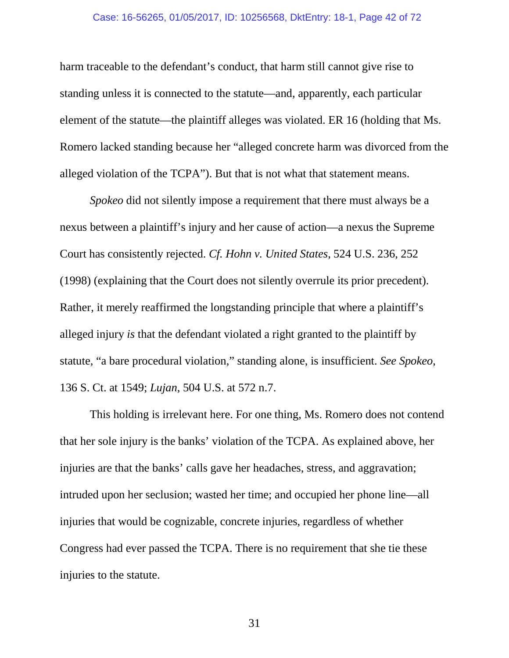#### Case: 16-56265, 01/05/2017, ID: 10256568, DktEntry: 18-1, Page 42 of 72

harm traceable to the defendant's conduct, that harm still cannot give rise to standing unless it is connected to the statute—and, apparently, each particular element of the statute—the plaintiff alleges was violated. ER 16 (holding that Ms. Romero lacked standing because her "alleged concrete harm was divorced from the alleged violation of the TCPA"). But that is not what that statement means.

*Spokeo* did not silently impose a requirement that there must always be a nexus between a plaintiff's injury and her cause of action—a nexus the Supreme Court has consistently rejected. *Cf. Hohn v. United States*, 524 U.S. 236, 252 (1998) (explaining that the Court does not silently overrule its prior precedent). Rather, it merely reaffirmed the longstanding principle that where a plaintiff's alleged injury *is* that the defendant violated a right granted to the plaintiff by statute, "a bare procedural violation," standing alone, is insufficient. *See Spokeo*, 136 S. Ct. at 1549; *Lujan*, 504 U.S. at 572 n.7.

This holding is irrelevant here. For one thing, Ms. Romero does not contend that her sole injury is the banks' violation of the TCPA. As explained above, her injuries are that the banks' calls gave her headaches, stress, and aggravation; intruded upon her seclusion; wasted her time; and occupied her phone line—all injuries that would be cognizable, concrete injuries, regardless of whether Congress had ever passed the TCPA. There is no requirement that she tie these injuries to the statute.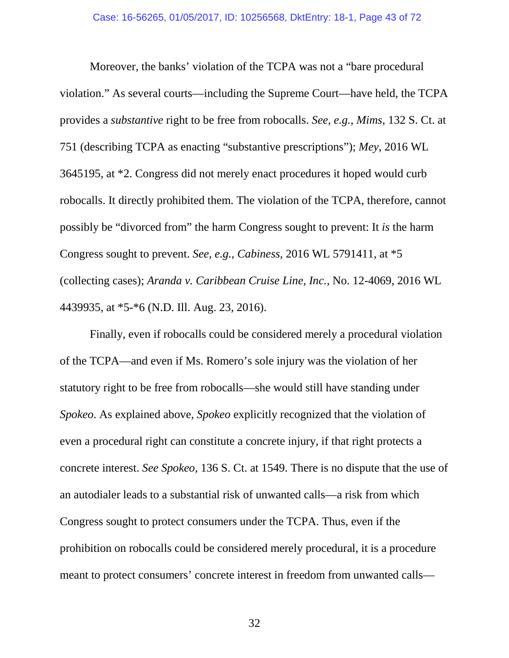Moreover, the banks' violation of the TCPA was not a "bare procedural violation." As several courts—including the Supreme Court—have held, the TCPA provides a *substantive* right to be free from robocalls. *See, e.g.*, *Mims*, 132 S. Ct. at 751 (describing TCPA as enacting "substantive prescriptions"); *Mey*, 2016 WL 3645195, at \*2. Congress did not merely enact procedures it hoped would curb robocalls. It directly prohibited them. The violation of the TCPA, therefore, cannot possibly be "divorced from" the harm Congress sought to prevent: It *is* the harm Congress sought to prevent. *See, e.g.*, *Cabiness*, 2016 WL 5791411, at \*5 (collecting cases); *Aranda v. Caribbean Cruise Line, Inc.*, No. 12-4069, 2016 WL 4439935, at \*5-\*6 (N.D. Ill. Aug. 23, 2016).

Finally, even if robocalls could be considered merely a procedural violation of the TCPA—and even if Ms. Romero's sole injury was the violation of her statutory right to be free from robocalls—she would still have standing under *Spokeo*. As explained above, *Spokeo* explicitly recognized that the violation of even a procedural right can constitute a concrete injury, if that right protects a concrete interest. *See Spokeo*, 136 S. Ct. at 1549. There is no dispute that the use of an autodialer leads to a substantial risk of unwanted calls—a risk from which Congress sought to protect consumers under the TCPA. Thus, even if the prohibition on robocalls could be considered merely procedural, it is a procedure meant to protect consumers' concrete interest in freedom from unwanted calls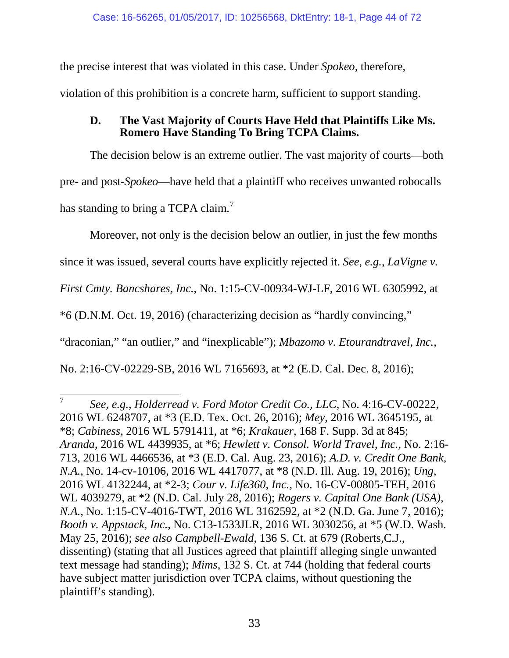the precise interest that was violated in this case. Under *Spokeo*, therefore,

violation of this prohibition is a concrete harm, sufficient to support standing.

## **D. The Vast Majority of Courts Have Held that Plaintiffs Like Ms. Romero Have Standing To Bring TCPA Claims.**

The decision below is an extreme outlier. The vast majority of courts—both pre- and post-*Spokeo*—have held that a plaintiff who receives unwanted robocalls has standing to bring a TCPA claim.<sup>[7](#page-43-0)</sup>

Moreover, not only is the decision below an outlier, in just the few months

since it was issued, several courts have explicitly rejected it. *See, e.g.*, *LaVigne v.* 

*First Cmty. Bancshares, Inc.*, No. 1:15-CV-00934-WJ-LF, 2016 WL 6305992, at

\*6 (D.N.M. Oct. 19, 2016) (characterizing decision as "hardly convincing,"

"draconian," "an outlier," and "inexplicable"); *Mbazomo v. Etourandtravel, Inc.*,

No. 2:16-CV-02229-SB, 2016 WL 7165693, at \*2 (E.D. Cal. Dec. 8, 2016);

<span id="page-43-0"></span> <sup>7</sup> *See, e.g.*, *Holderread v. Ford Motor Credit Co., LLC*, No. 4:16-CV-00222, 2016 WL 6248707, at \*3 (E.D. Tex. Oct. 26, 2016); *Mey*, 2016 WL 3645195, at \*8; *Cabiness*, 2016 WL 5791411, at \*6; *Krakauer*, 168 F. Supp. 3d at 845; *Aranda*, 2016 WL 4439935, at \*6; *Hewlett v. Consol. World Travel, Inc.*, No. 2:16- 713, 2016 WL 4466536, at \*3 (E.D. Cal. Aug. 23, 2016); *A.D. v. Credit One Bank, N.A.*, No. 14-cv-10106, 2016 WL 4417077, at \*8 (N.D. Ill. Aug. 19, 2016); *Ung*, 2016 WL 4132244, at \*2-3; *Cour v. Life360, Inc.*, No. 16-CV-00805-TEH, 2016 WL 4039279, at \*2 (N.D. Cal. July 28, 2016); *Rogers v. Capital One Bank (USA), N.A.*, No. 1:15-CV-4016-TWT, 2016 WL 3162592, at \*2 (N.D. Ga. June 7, 2016); *Booth v. Appstack, Inc.*, No. C13-1533JLR, 2016 WL 3030256, at \*5 (W.D. Wash. May 25, 2016); *see also Campbell-Ewald*, 136 S. Ct. at 679 (Roberts,C.J., dissenting) (stating that all Justices agreed that plaintiff alleging single unwanted text message had standing); *Mims*, 132 S. Ct. at 744 (holding that federal courts have subject matter jurisdiction over TCPA claims, without questioning the plaintiff's standing).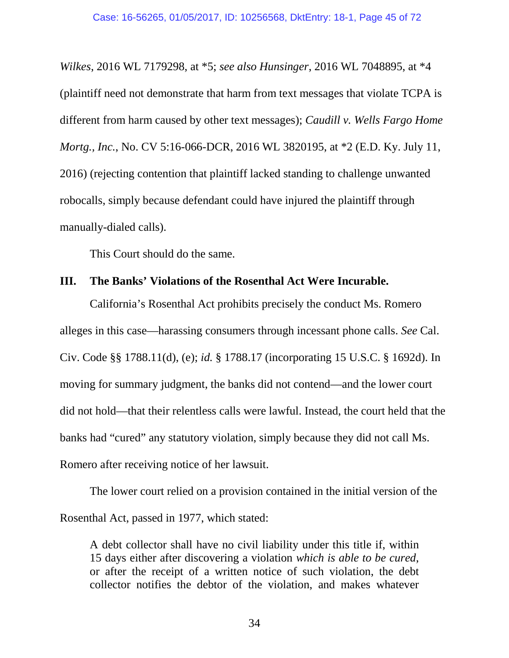*Wilkes*, 2016 WL 7179298, at \*5; *see also Hunsinger*, 2016 WL 7048895, at \*4 (plaintiff need not demonstrate that harm from text messages that violate TCPA is different from harm caused by other text messages); *Caudill v. Wells Fargo Home Mortg., Inc.*, No. CV 5:16-066-DCR, 2016 WL 3820195, at \*2 (E.D. Ky. July 11, 2016) (rejecting contention that plaintiff lacked standing to challenge unwanted robocalls, simply because defendant could have injured the plaintiff through manually-dialed calls).

This Court should do the same.

## **III. The Banks' Violations of the Rosenthal Act Were Incurable.**

California's Rosenthal Act prohibits precisely the conduct Ms. Romero alleges in this case—harassing consumers through incessant phone calls. *See* Cal. Civ. Code §§ 1788.11(d), (e); *id.* § 1788.17 (incorporating 15 U.S.C. § 1692d). In moving for summary judgment, the banks did not contend—and the lower court did not hold—that their relentless calls were lawful. Instead, the court held that the banks had "cured" any statutory violation, simply because they did not call Ms. Romero after receiving notice of her lawsuit.

The lower court relied on a provision contained in the initial version of the Rosenthal Act, passed in 1977, which stated:

A debt collector shall have no civil liability under this title if, within 15 days either after discovering a violation *which is able to be cured*, or after the receipt of a written notice of such violation, the debt collector notifies the debtor of the violation, and makes whatever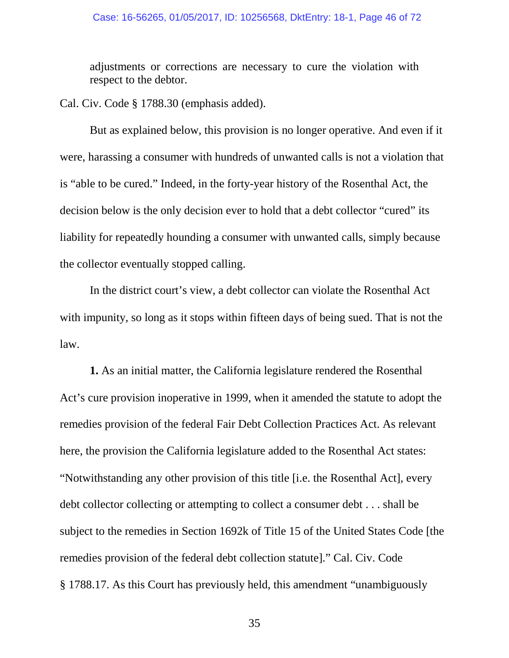#### Case: 16-56265, 01/05/2017, ID: 10256568, DktEntry: 18-1, Page 46 of 72

adjustments or corrections are necessary to cure the violation with respect to the debtor.

Cal. Civ. Code § 1788.30 (emphasis added).

But as explained below, this provision is no longer operative. And even if it were, harassing a consumer with hundreds of unwanted calls is not a violation that is "able to be cured." Indeed, in the forty-year history of the Rosenthal Act, the decision below is the only decision ever to hold that a debt collector "cured" its liability for repeatedly hounding a consumer with unwanted calls, simply because the collector eventually stopped calling.

In the district court's view, a debt collector can violate the Rosenthal Act with impunity, so long as it stops within fifteen days of being sued. That is not the law.

**1.** As an initial matter, the California legislature rendered the Rosenthal Act's cure provision inoperative in 1999, when it amended the statute to adopt the remedies provision of the federal Fair Debt Collection Practices Act. As relevant here, the provision the California legislature added to the Rosenthal Act states: "Notwithstanding any other provision of this title [i.e. the Rosenthal Act], every debt collector collecting or attempting to collect a consumer debt . . . shall be subject to the remedies in Section 1692k of Title 15 of the United States Code [the remedies provision of the federal debt collection statute]." Cal. Civ. Code § 1788.17. As this Court has previously held, this amendment "unambiguously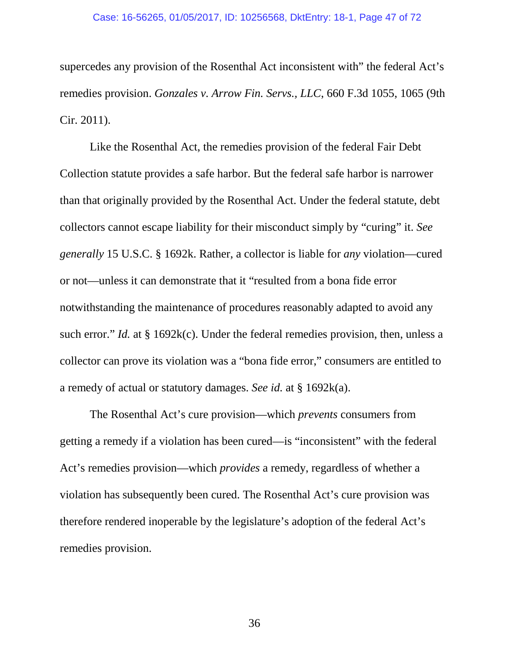#### Case: 16-56265, 01/05/2017, ID: 10256568, DktEntry: 18-1, Page 47 of 72

supercedes any provision of the Rosenthal Act inconsistent with" the federal Act's remedies provision. *Gonzales v. Arrow Fin. Servs., LLC*, 660 F.3d 1055, 1065 (9th Cir. 2011).

Like the Rosenthal Act, the remedies provision of the federal Fair Debt Collection statute provides a safe harbor. But the federal safe harbor is narrower than that originally provided by the Rosenthal Act. Under the federal statute, debt collectors cannot escape liability for their misconduct simply by "curing" it. *See generally* 15 U.S.C. § 1692k. Rather, a collector is liable for *any* violation—cured or not—unless it can demonstrate that it "resulted from a bona fide error notwithstanding the maintenance of procedures reasonably adapted to avoid any such error." *Id.* at § 1692k(c). Under the federal remedies provision, then, unless a collector can prove its violation was a "bona fide error," consumers are entitled to a remedy of actual or statutory damages. *See id.* at § 1692k(a).

The Rosenthal Act's cure provision—which *prevents* consumers from getting a remedy if a violation has been cured—is "inconsistent" with the federal Act's remedies provision—which *provides* a remedy, regardless of whether a violation has subsequently been cured. The Rosenthal Act's cure provision was therefore rendered inoperable by the legislature's adoption of the federal Act's remedies provision.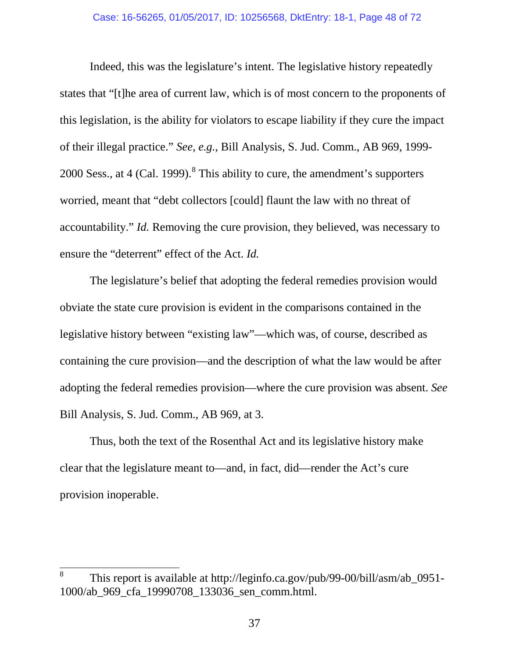Indeed, this was the legislature's intent. The legislative history repeatedly states that "[t]he area of current law, which is of most concern to the proponents of this legislation, is the ability for violators to escape liability if they cure the impact of their illegal practice." *See, e.g.*, Bill Analysis, S. Jud. Comm., AB 969, 1999- 2000 Sess., at 4 (Cal. 1999). $<sup>8</sup>$  $<sup>8</sup>$  $<sup>8</sup>$  This ability to cure, the amendment's supporters</sup> worried, meant that "debt collectors [could] flaunt the law with no threat of accountability." *Id.* Removing the cure provision, they believed, was necessary to ensure the "deterrent" effect of the Act. *Id.*

The legislature's belief that adopting the federal remedies provision would obviate the state cure provision is evident in the comparisons contained in the legislative history between "existing law"—which was, of course, described as containing the cure provision—and the description of what the law would be after adopting the federal remedies provision—where the cure provision was absent. *See* Bill Analysis, S. Jud. Comm., AB 969, at 3.

Thus, both the text of the Rosenthal Act and its legislative history make clear that the legislature meant to—and, in fact, did—render the Act's cure provision inoperable.

<span id="page-47-0"></span><sup>&</sup>lt;sup>8</sup> This report is available at http://leginfo.ca.gov/pub/99-00/bill/asm/ab 0951-1000/ab\_969\_cfa\_19990708\_133036\_sen\_comm.html.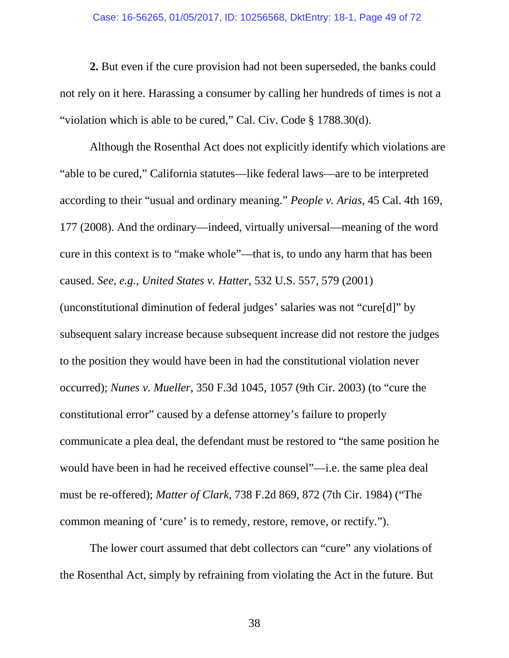#### Case: 16-56265, 01/05/2017, ID: 10256568, DktEntry: 18-1, Page 49 of 72

**2.** But even if the cure provision had not been superseded, the banks could not rely on it here. Harassing a consumer by calling her hundreds of times is not a "violation which is able to be cured," Cal. Civ. Code § 1788.30(d).

Although the Rosenthal Act does not explicitly identify which violations are "able to be cured," California statutes—like federal laws—are to be interpreted according to their "usual and ordinary meaning." *People v. Arias*, 45 Cal. 4th 169, 177 (2008). And the ordinary—indeed, virtually universal—meaning of the word cure in this context is to "make whole"—that is, to undo any harm that has been caused. *See, e.g.*, *United States v. Hatter*, 532 U.S. 557, 579 (2001)

(unconstitutional diminution of federal judges' salaries was not "cure[d]" by subsequent salary increase because subsequent increase did not restore the judges to the position they would have been in had the constitutional violation never occurred); *Nunes v. Mueller*, 350 F.3d 1045, 1057 (9th Cir. 2003) (to "cure the constitutional error" caused by a defense attorney's failure to properly communicate a plea deal, the defendant must be restored to "the same position he would have been in had he received effective counsel"—i.e. the same plea deal must be re-offered); *Matter of Clark*, 738 F.2d 869, 872 (7th Cir. 1984) ("The common meaning of 'cure' is to remedy, restore, remove, or rectify.").

The lower court assumed that debt collectors can "cure" any violations of the Rosenthal Act, simply by refraining from violating the Act in the future. But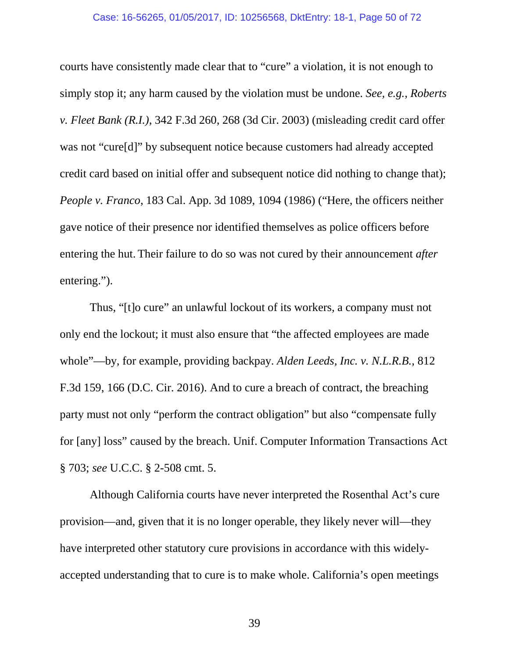courts have consistently made clear that to "cure" a violation, it is not enough to simply stop it; any harm caused by the violation must be undone. *See, e.g.*, *Roberts v. Fleet Bank (R.I.)*, 342 F.3d 260, 268 (3d Cir. 2003) (misleading credit card offer was not "cure[d]" by subsequent notice because customers had already accepted credit card based on initial offer and subsequent notice did nothing to change that); *People v. Franco*, 183 Cal. App. 3d 1089, 1094 (1986) ("Here, the officers neither gave notice of their presence nor identified themselves as police officers before entering the hut. Their failure to do so was not cured by their announcement *after* entering.").

Thus, "[t]o cure" an unlawful lockout of its workers, a company must not only end the lockout; it must also ensure that "the affected employees are made whole"—by, for example, providing backpay. *Alden Leeds, Inc. v. N.L.R.B.*, 812 F.3d 159, 166 (D.C. Cir. 2016). And to cure a breach of contract, the breaching party must not only "perform the contract obligation" but also "compensate fully for [any] loss" caused by the breach. Unif. Computer Information Transactions Act § 703; *see* U.C.C. § 2-508 cmt. 5.

Although California courts have never interpreted the Rosenthal Act's cure provision—and, given that it is no longer operable, they likely never will—they have interpreted other statutory cure provisions in accordance with this widelyaccepted understanding that to cure is to make whole. California's open meetings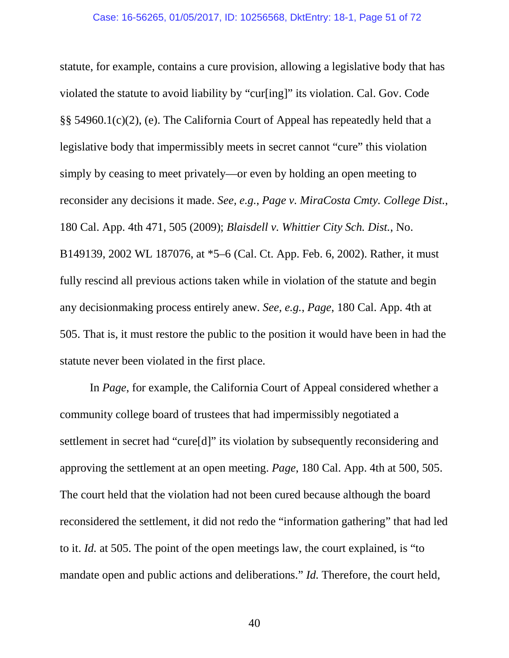statute, for example, contains a cure provision, allowing a legislative body that has violated the statute to avoid liability by "cur[ing]" its violation. Cal. Gov. Code §§ 54960.1(c)(2), (e). The California Court of Appeal has repeatedly held that a legislative body that impermissibly meets in secret cannot "cure" this violation simply by ceasing to meet privately—or even by holding an open meeting to reconsider any decisions it made. *See, e.g.*, *Page v. MiraCosta Cmty. College Dist.*, 180 Cal. App. 4th 471, 505 (2009); *Blaisdell v. Whittier City Sch. Dist.*, No. B149139, 2002 WL 187076, at \*5–6 (Cal. Ct. App. Feb. 6, 2002). Rather, it must fully rescind all previous actions taken while in violation of the statute and begin any decisionmaking process entirely anew. *See, e.g.*, *Page*, 180 Cal. App. 4th at 505. That is, it must restore the public to the position it would have been in had the statute never been violated in the first place.

In *Page*, for example, the California Court of Appeal considered whether a community college board of trustees that had impermissibly negotiated a settlement in secret had "cure[d]" its violation by subsequently reconsidering and approving the settlement at an open meeting. *Page*, 180 Cal. App. 4th at 500, 505. The court held that the violation had not been cured because although the board reconsidered the settlement, it did not redo the "information gathering" that had led to it. *Id.* at 505. The point of the open meetings law, the court explained, is "to mandate open and public actions and deliberations." *Id.* Therefore, the court held,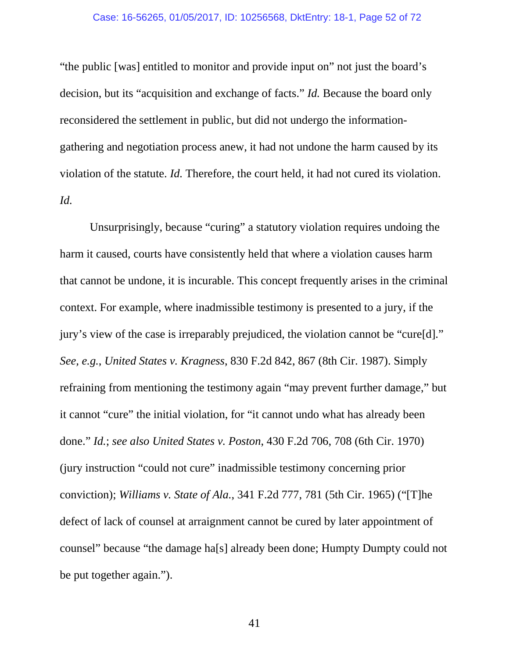#### Case: 16-56265, 01/05/2017, ID: 10256568, DktEntry: 18-1, Page 52 of 72

"the public [was] entitled to monitor and provide input on" not just the board's decision, but its "acquisition and exchange of facts." *Id.* Because the board only reconsidered the settlement in public, but did not undergo the informationgathering and negotiation process anew, it had not undone the harm caused by its violation of the statute. *Id.* Therefore, the court held, it had not cured its violation. *Id.*

Unsurprisingly, because "curing" a statutory violation requires undoing the harm it caused, courts have consistently held that where a violation causes harm that cannot be undone, it is incurable. This concept frequently arises in the criminal context. For example, where inadmissible testimony is presented to a jury, if the jury's view of the case is irreparably prejudiced, the violation cannot be "cure[d]." *See, e.g.*, *United States v. Kragness*, 830 F.2d 842, 867 (8th Cir. 1987). Simply refraining from mentioning the testimony again "may prevent further damage," but it cannot "cure" the initial violation, for "it cannot undo what has already been done." *Id.*; *see also United States v. Poston*, 430 F.2d 706, 708 (6th Cir. 1970) (jury instruction "could not cure" inadmissible testimony concerning prior conviction); *Williams v. State of Ala.*, 341 F.2d 777, 781 (5th Cir. 1965) ("[T]he defect of lack of counsel at arraignment cannot be cured by later appointment of counsel" because "the damage ha[s] already been done; Humpty Dumpty could not be put together again.").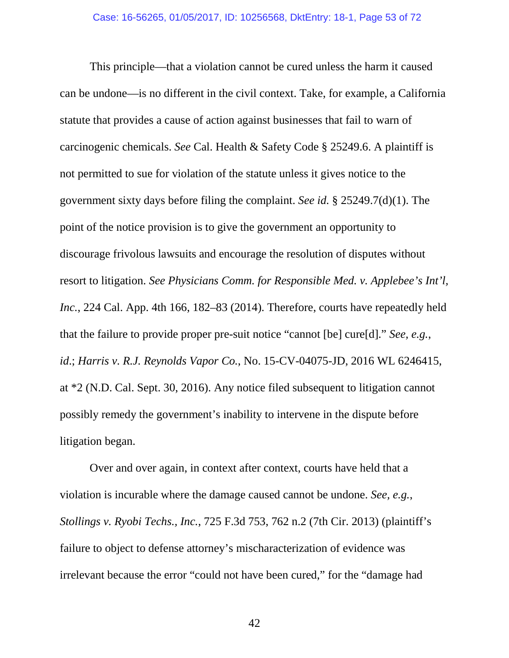This principle—that a violation cannot be cured unless the harm it caused can be undone—is no different in the civil context. Take, for example, a California statute that provides a cause of action against businesses that fail to warn of carcinogenic chemicals. *See* Cal. Health & Safety Code § 25249.6. A plaintiff is not permitted to sue for violation of the statute unless it gives notice to the government sixty days before filing the complaint. *See id.* § 25249.7(d)(1). The point of the notice provision is to give the government an opportunity to discourage frivolous lawsuits and encourage the resolution of disputes without resort to litigation. *See Physicians Comm. for Responsible Med. v. Applebee's Int'l, Inc.*, 224 Cal. App. 4th 166, 182–83 (2014). Therefore, courts have repeatedly held that the failure to provide proper pre-suit notice "cannot [be] cure[d]." *See, e.g.*, *id*.; *Harris v. R.J. Reynolds Vapor Co.*, No. 15-CV-04075-JD, 2016 WL 6246415, at \*2 (N.D. Cal. Sept. 30, 2016). Any notice filed subsequent to litigation cannot possibly remedy the government's inability to intervene in the dispute before litigation began.

Over and over again, in context after context, courts have held that a violation is incurable where the damage caused cannot be undone. *See, e.g.*, *Stollings v. Ryobi Techs., Inc.*, 725 F.3d 753, 762 n.2 (7th Cir. 2013) (plaintiff's failure to object to defense attorney's mischaracterization of evidence was irrelevant because the error "could not have been cured," for the "damage had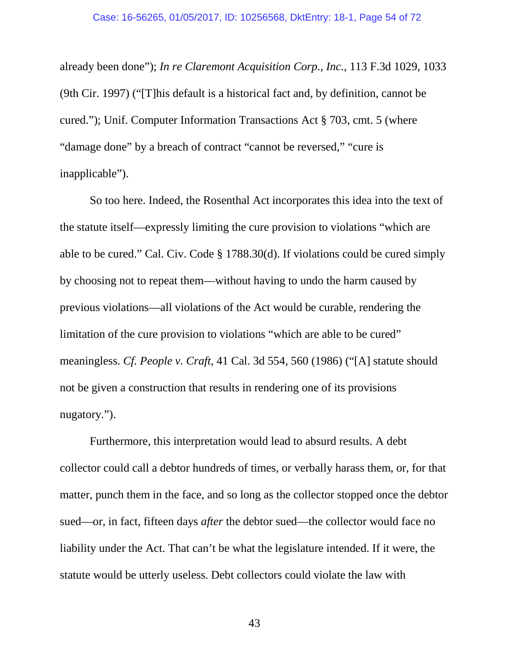already been done"); *In re Claremont Acquisition Corp., Inc.*, 113 F.3d 1029, 1033 (9th Cir. 1997) ("[T]his default is a historical fact and, by definition, cannot be cured."); Unif. Computer Information Transactions Act § 703, cmt. 5 (where "damage done" by a breach of contract "cannot be reversed," "cure is inapplicable").

So too here. Indeed, the Rosenthal Act incorporates this idea into the text of the statute itself—expressly limiting the cure provision to violations "which are able to be cured." Cal. Civ. Code § 1788.30(d). If violations could be cured simply by choosing not to repeat them—without having to undo the harm caused by previous violations—all violations of the Act would be curable, rendering the limitation of the cure provision to violations "which are able to be cured" meaningless. *Cf. People v. Craft*, 41 Cal. 3d 554, 560 (1986) ("[A] statute should not be given a construction that results in rendering one of its provisions nugatory.").

Furthermore, this interpretation would lead to absurd results. A debt collector could call a debtor hundreds of times, or verbally harass them, or, for that matter, punch them in the face, and so long as the collector stopped once the debtor sued—or, in fact, fifteen days *after* the debtor sued—the collector would face no liability under the Act. That can't be what the legislature intended. If it were, the statute would be utterly useless. Debt collectors could violate the law with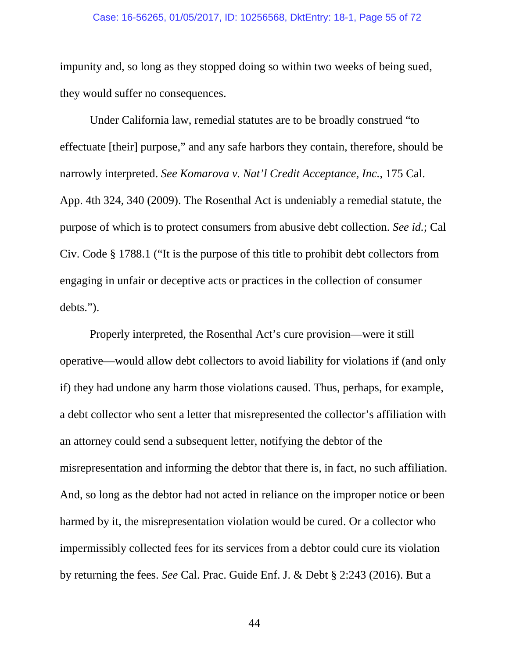#### Case: 16-56265, 01/05/2017, ID: 10256568, DktEntry: 18-1, Page 55 of 72

impunity and, so long as they stopped doing so within two weeks of being sued, they would suffer no consequences.

Under California law, remedial statutes are to be broadly construed "to effectuate [their] purpose," and any safe harbors they contain, therefore, should be narrowly interpreted. *See Komarova v. Nat'l Credit Acceptance, Inc.*, 175 Cal. App. 4th 324, 340 (2009). The Rosenthal Act is undeniably a remedial statute, the purpose of which is to protect consumers from abusive debt collection. *See id.*; Cal Civ. Code § 1788.1 ("It is the purpose of this title to prohibit debt collectors from engaging in unfair or deceptive acts or practices in the collection of consumer debts.").

Properly interpreted, the Rosenthal Act's cure provision—were it still operative—would allow debt collectors to avoid liability for violations if (and only if) they had undone any harm those violations caused. Thus, perhaps, for example, a debt collector who sent a letter that misrepresented the collector's affiliation with an attorney could send a subsequent letter, notifying the debtor of the misrepresentation and informing the debtor that there is, in fact, no such affiliation. And, so long as the debtor had not acted in reliance on the improper notice or been harmed by it, the misrepresentation violation would be cured. Or a collector who impermissibly collected fees for its services from a debtor could cure its violation by returning the fees. *See* Cal. Prac. Guide Enf. J. & Debt § 2:243 (2016). But a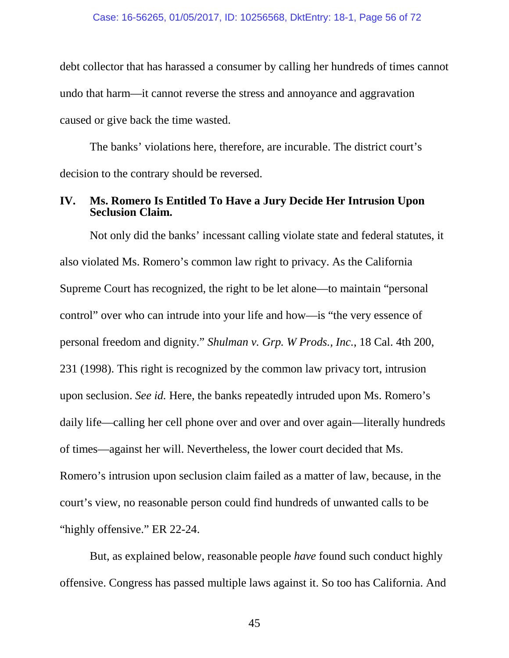debt collector that has harassed a consumer by calling her hundreds of times cannot undo that harm—it cannot reverse the stress and annoyance and aggravation caused or give back the time wasted.

The banks' violations here, therefore, are incurable. The district court's decision to the contrary should be reversed.

## **IV. Ms. Romero Is Entitled To Have a Jury Decide Her Intrusion Upon Seclusion Claim.**

Not only did the banks' incessant calling violate state and federal statutes, it also violated Ms. Romero's common law right to privacy. As the California Supreme Court has recognized, the right to be let alone—to maintain "personal control" over who can intrude into your life and how—is "the very essence of personal freedom and dignity." *Shulman v. Grp. W Prods., Inc.*, 18 Cal. 4th 200, 231 (1998). This right is recognized by the common law privacy tort, intrusion upon seclusion. *See id.* Here, the banks repeatedly intruded upon Ms. Romero's daily life—calling her cell phone over and over and over again—literally hundreds of times—against her will. Nevertheless, the lower court decided that Ms. Romero's intrusion upon seclusion claim failed as a matter of law, because, in the court's view, no reasonable person could find hundreds of unwanted calls to be "highly offensive." ER 22-24.

But, as explained below, reasonable people *have* found such conduct highly offensive. Congress has passed multiple laws against it. So too has California. And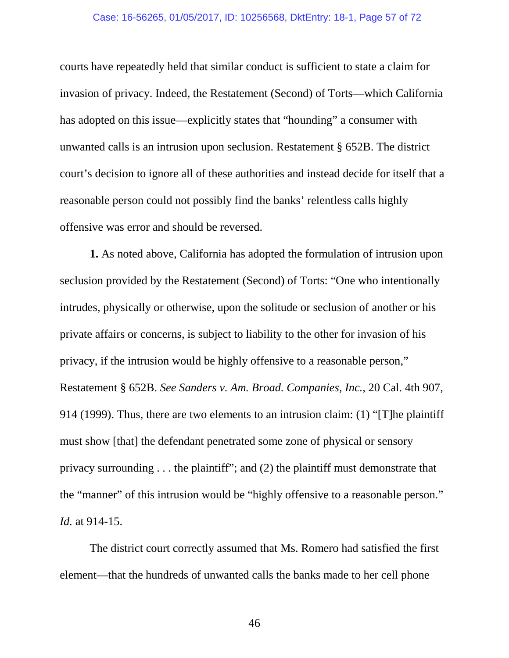#### Case: 16-56265, 01/05/2017, ID: 10256568, DktEntry: 18-1, Page 57 of 72

courts have repeatedly held that similar conduct is sufficient to state a claim for invasion of privacy. Indeed, the Restatement (Second) of Torts—which California has adopted on this issue—explicitly states that "hounding" a consumer with unwanted calls is an intrusion upon seclusion. Restatement § 652B. The district court's decision to ignore all of these authorities and instead decide for itself that a reasonable person could not possibly find the banks' relentless calls highly offensive was error and should be reversed.

**1.** As noted above, California has adopted the formulation of intrusion upon seclusion provided by the Restatement (Second) of Torts: "One who intentionally intrudes, physically or otherwise, upon the solitude or seclusion of another or his private affairs or concerns, is subject to liability to the other for invasion of his privacy, if the intrusion would be highly offensive to a reasonable person," Restatement § 652B. *See Sanders v. Am. Broad. Companies, Inc.*, 20 Cal. 4th 907, 914 (1999). Thus, there are two elements to an intrusion claim: (1) "[T]he plaintiff must show [that] the defendant penetrated some zone of physical or sensory privacy surrounding . . . the plaintiff"; and (2) the plaintiff must demonstrate that the "manner" of this intrusion would be "highly offensive to a reasonable person." *Id.* at 914-15.

The district court correctly assumed that Ms. Romero had satisfied the first element—that the hundreds of unwanted calls the banks made to her cell phone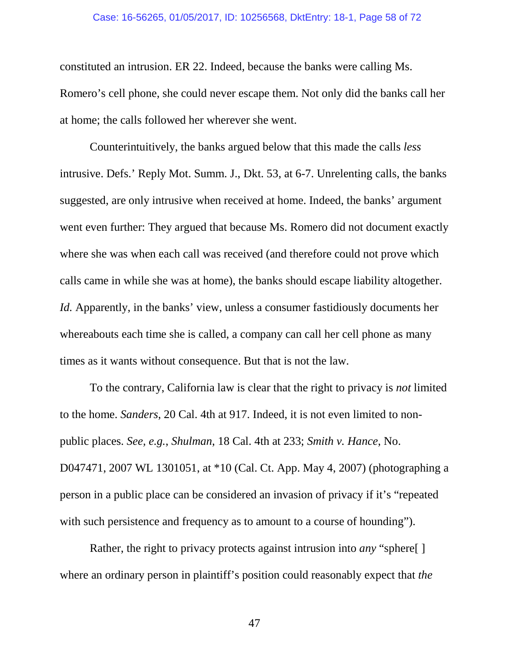#### Case: 16-56265, 01/05/2017, ID: 10256568, DktEntry: 18-1, Page 58 of 72

constituted an intrusion. ER 22. Indeed, because the banks were calling Ms. Romero's cell phone, she could never escape them. Not only did the banks call her at home; the calls followed her wherever she went.

Counterintuitively, the banks argued below that this made the calls *less*  intrusive. Defs.' Reply Mot. Summ. J., Dkt. 53, at 6-7. Unrelenting calls, the banks suggested, are only intrusive when received at home. Indeed, the banks' argument went even further: They argued that because Ms. Romero did not document exactly where she was when each call was received (and therefore could not prove which calls came in while she was at home), the banks should escape liability altogether. *Id.* Apparently, in the banks' view, unless a consumer fastidiously documents her whereabouts each time she is called, a company can call her cell phone as many times as it wants without consequence. But that is not the law.

To the contrary, California law is clear that the right to privacy is *not* limited to the home. *Sanders*, 20 Cal. 4th at 917. Indeed, it is not even limited to nonpublic places. *See, e.g.*, *Shulman*, 18 Cal. 4th at 233; *Smith v. Hance*, No. D047471, 2007 WL 1301051, at \*10 (Cal. Ct. App. May 4, 2007) (photographing a person in a public place can be considered an invasion of privacy if it's "repeated with such persistence and frequency as to amount to a course of hounding".

Rather, the right to privacy protects against intrusion into *any* "sphere[ ] where an ordinary person in plaintiff's position could reasonably expect that *the*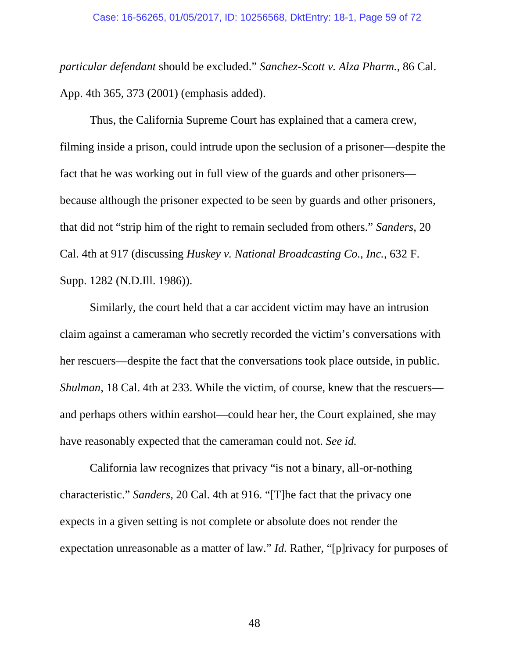*particular defendant* should be excluded." *Sanchez-Scott v. Alza Pharm.*, 86 Cal. App. 4th 365, 373 (2001) (emphasis added).

Thus, the California Supreme Court has explained that a camera crew, filming inside a prison, could intrude upon the seclusion of a prisoner—despite the fact that he was working out in full view of the guards and other prisoners because although the prisoner expected to be seen by guards and other prisoners, that did not "strip him of the right to remain secluded from others." *Sanders*, 20 Cal. 4th at 917 (discussing *Huskey v. National Broadcasting Co., Inc.*, 632 F. Supp. 1282 (N.D.Ill. 1986)).

Similarly, the court held that a car accident victim may have an intrusion claim against a cameraman who secretly recorded the victim's conversations with her rescuers—despite the fact that the conversations took place outside, in public. *Shulman*, 18 Cal. 4th at 233. While the victim, of course, knew that the rescuers and perhaps others within earshot—could hear her, the Court explained, she may have reasonably expected that the cameraman could not. *See id.*

California law recognizes that privacy "is not a binary, all-or-nothing characteristic." *Sanders*, 20 Cal. 4th at 916. "[T]he fact that the privacy one expects in a given setting is not complete or absolute does not render the expectation unreasonable as a matter of law." *Id.* Rather, "[p]rivacy for purposes of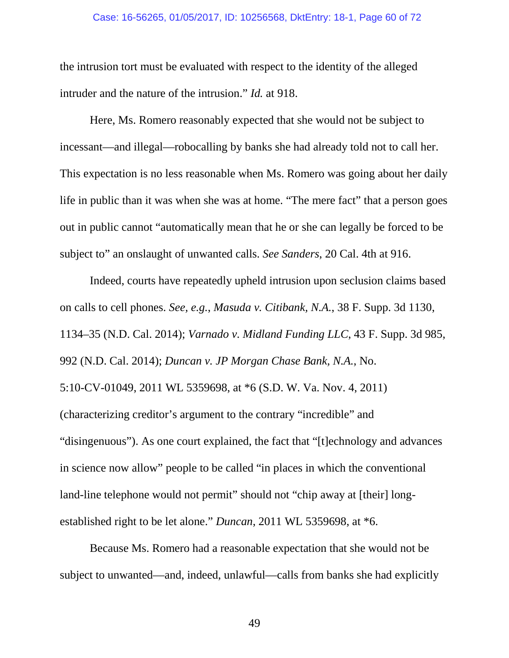#### Case: 16-56265, 01/05/2017, ID: 10256568, DktEntry: 18-1, Page 60 of 72

the intrusion tort must be evaluated with respect to the identity of the alleged intruder and the nature of the intrusion." *Id.* at 918.

Here, Ms. Romero reasonably expected that she would not be subject to incessant—and illegal—robocalling by banks she had already told not to call her. This expectation is no less reasonable when Ms. Romero was going about her daily life in public than it was when she was at home. "The mere fact" that a person goes out in public cannot "automatically mean that he or she can legally be forced to be subject to" an onslaught of unwanted calls. *See Sanders*, 20 Cal. 4th at 916.

Indeed, courts have repeatedly upheld intrusion upon seclusion claims based on calls to cell phones. *See, e.g.*, *Masuda v. Citibank, N.A.*, 38 F. Supp. 3d 1130, 1134–35 (N.D. Cal. 2014); *Varnado v. Midland Funding LLC*, 43 F. Supp. 3d 985, 992 (N.D. Cal. 2014); *Duncan v. JP Morgan Chase Bank, N.A.*, No. 5:10-CV-01049, 2011 WL 5359698, at \*6 (S.D. W. Va. Nov. 4, 2011) (characterizing creditor's argument to the contrary "incredible" and "disingenuous"). As one court explained, the fact that "[t]echnology and advances in science now allow" people to be called "in places in which the conventional land-line telephone would not permit" should not "chip away at [their] longestablished right to be let alone." *Duncan*, 2011 WL 5359698, at \*6.

Because Ms. Romero had a reasonable expectation that she would not be subject to unwanted—and, indeed, unlawful—calls from banks she had explicitly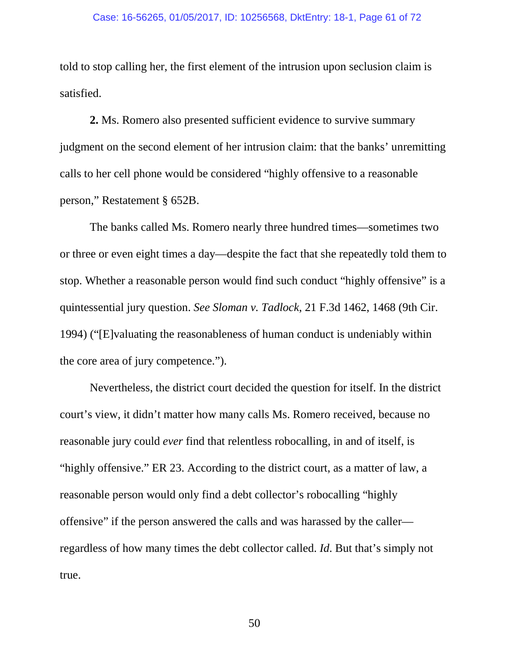told to stop calling her, the first element of the intrusion upon seclusion claim is satisfied.

**2.** Ms. Romero also presented sufficient evidence to survive summary judgment on the second element of her intrusion claim: that the banks' unremitting calls to her cell phone would be considered "highly offensive to a reasonable person," Restatement § 652B.

The banks called Ms. Romero nearly three hundred times—sometimes two or three or even eight times a day—despite the fact that she repeatedly told them to stop. Whether a reasonable person would find such conduct "highly offensive" is a quintessential jury question. *See Sloman v. Tadlock*, 21 F.3d 1462, 1468 (9th Cir. 1994) ("[E]valuating the reasonableness of human conduct is undeniably within the core area of jury competence.").

Nevertheless, the district court decided the question for itself. In the district court's view, it didn't matter how many calls Ms. Romero received, because no reasonable jury could *ever* find that relentless robocalling, in and of itself, is "highly offensive." ER 23. According to the district court, as a matter of law, a reasonable person would only find a debt collector's robocalling "highly offensive" if the person answered the calls and was harassed by the caller regardless of how many times the debt collector called. *Id*. But that's simply not true.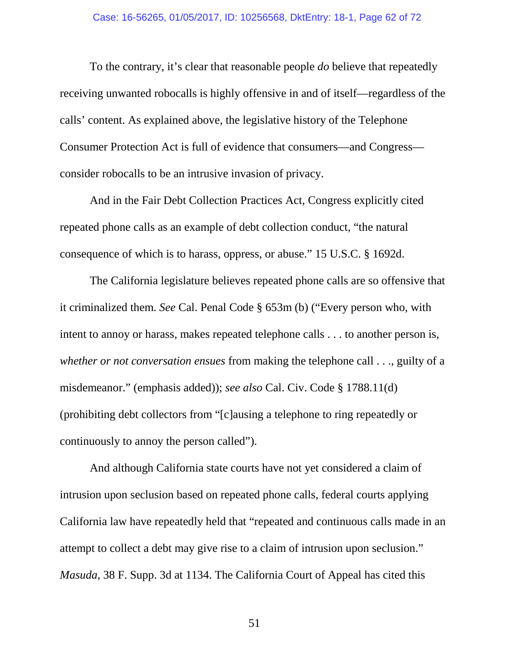To the contrary, it's clear that reasonable people *do* believe that repeatedly receiving unwanted robocalls is highly offensive in and of itself—regardless of the calls' content. As explained above, the legislative history of the Telephone Consumer Protection Act is full of evidence that consumers—and Congress consider robocalls to be an intrusive invasion of privacy.

And in the Fair Debt Collection Practices Act, Congress explicitly cited repeated phone calls as an example of debt collection conduct, "the natural consequence of which is to harass, oppress, or abuse." 15 U.S.C. § 1692d.

The California legislature believes repeated phone calls are so offensive that it criminalized them. *See* Cal. Penal Code § 653m (b) ("Every person who, with intent to annoy or harass, makes repeated telephone calls . . . to another person is, *whether or not conversation ensues* from making the telephone call . . ., guilty of a misdemeanor." (emphasis added)); *see also* Cal. Civ. Code § 1788.11(d) (prohibiting debt collectors from "[c]ausing a telephone to ring repeatedly or continuously to annoy the person called").

And although California state courts have not yet considered a claim of intrusion upon seclusion based on repeated phone calls, federal courts applying California law have repeatedly held that "repeated and continuous calls made in an attempt to collect a debt may give rise to a claim of intrusion upon seclusion." *Masuda*, 38 F. Supp. 3d at 1134. The California Court of Appeal has cited this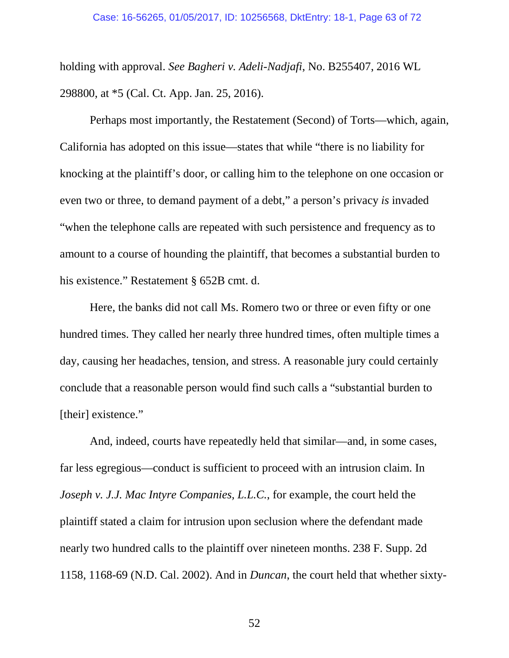holding with approval. *See Bagheri v. Adeli-Nadjafi*, No. B255407, 2016 WL 298800, at \*5 (Cal. Ct. App. Jan. 25, 2016).

Perhaps most importantly, the Restatement (Second) of Torts—which, again, California has adopted on this issue—states that while "there is no liability for knocking at the plaintiff's door, or calling him to the telephone on one occasion or even two or three, to demand payment of a debt," a person's privacy *is* invaded "when the telephone calls are repeated with such persistence and frequency as to amount to a course of hounding the plaintiff, that becomes a substantial burden to his existence." Restatement § 652B cmt. d.

Here, the banks did not call Ms. Romero two or three or even fifty or one hundred times. They called her nearly three hundred times, often multiple times a day, causing her headaches, tension, and stress. A reasonable jury could certainly conclude that a reasonable person would find such calls a "substantial burden to [their] existence."

And, indeed, courts have repeatedly held that similar—and, in some cases, far less egregious—conduct is sufficient to proceed with an intrusion claim. In *Joseph v. J.J. Mac Intyre Companies, L.L.C.*, for example, the court held the plaintiff stated a claim for intrusion upon seclusion where the defendant made nearly two hundred calls to the plaintiff over nineteen months. 238 F. Supp. 2d 1158, 1168-69 (N.D. Cal. 2002). And in *Duncan*, the court held that whether sixty-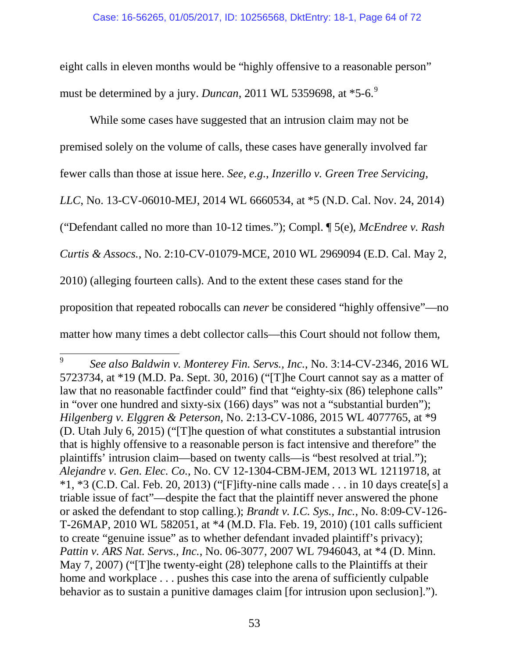eight calls in eleven months would be "highly offensive to a reasonable person" must be determined by a jury. *Duncan*, 2011 WL 535[9](#page-63-0)698, at \*5-6.<sup>9</sup>

While some cases have suggested that an intrusion claim may not be premised solely on the volume of calls, these cases have generally involved far fewer calls than those at issue here. *See, e.g.*, *Inzerillo v. Green Tree Servicing, LLC*, No. 13-CV-06010-MEJ, 2014 WL 6660534, at \*5 (N.D. Cal. Nov. 24, 2014) ("Defendant called no more than 10-12 times."); Compl. ¶ 5(e), *McEndree v. Rash Curtis & Assocs.*, No. 2:10-CV-01079-MCE, 2010 WL 2969094 (E.D. Cal. May 2, 2010) (alleging fourteen calls). And to the extent these cases stand for the proposition that repeated robocalls can *never* be considered "highly offensive"—no matter how many times a debt collector calls—this Court should not follow them,

<span id="page-63-0"></span> <sup>9</sup> *See also Baldwin v. Monterey Fin. Servs., Inc.*, No. 3:14-CV-2346, 2016 WL 5723734, at \*19 (M.D. Pa. Sept. 30, 2016) ("[T]he Court cannot say as a matter of law that no reasonable factfinder could" find that "eighty-six (86) telephone calls" in "over one hundred and sixty-six (166) days" was not a "substantial burden"); *Hilgenberg v. Elggren & Peterson*, No. 2:13-CV-1086, 2015 WL 4077765, at \*9 (D. Utah July 6, 2015) ("[T]he question of what constitutes a substantial intrusion that is highly offensive to a reasonable person is fact intensive and therefore" the plaintiffs' intrusion claim—based on twenty calls—is "best resolved at trial."); *Alejandre v. Gen. Elec. Co.*, No. CV 12-1304-CBM-JEM, 2013 WL 12119718, at  $*1, *3$  (C.D. Cal. Feb. 20, 2013) ("[F]ifty-nine calls made . . . in 10 days create[s] a triable issue of fact"—despite the fact that the plaintiff never answered the phone or asked the defendant to stop calling.); *Brandt v. I.C. Sys., Inc.*, No. 8:09-CV-126- T-26MAP, 2010 WL 582051, at \*4 (M.D. Fla. Feb. 19, 2010) (101 calls sufficient to create "genuine issue" as to whether defendant invaded plaintiff's privacy); *Pattin v. ARS Nat. Servs., Inc.*, No. 06-3077, 2007 WL 7946043, at \*4 (D. Minn. May 7, 2007) ("The twenty-eight (28) telephone calls to the Plaintiffs at their home and workplace . . . pushes this case into the arena of sufficiently culpable behavior as to sustain a punitive damages claim [for intrusion upon seclusion].").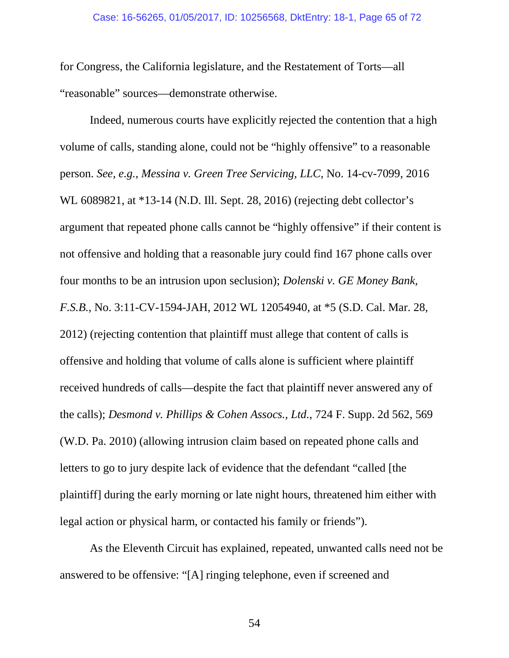for Congress, the California legislature, and the Restatement of Torts—all "reasonable" sources—demonstrate otherwise.

Indeed, numerous courts have explicitly rejected the contention that a high volume of calls, standing alone, could not be "highly offensive" to a reasonable person. *See, e.g.*, *Messina v. Green Tree Servicing, LLC*, No. 14-cv-7099, 2016 WL 6089821, at \*13-14 (N.D. Ill. Sept. 28, 2016) (rejecting debt collector's argument that repeated phone calls cannot be "highly offensive" if their content is not offensive and holding that a reasonable jury could find 167 phone calls over four months to be an intrusion upon seclusion); *Dolenski v. GE Money Bank, F.S.B.*, No. 3:11-CV-1594-JAH, 2012 WL 12054940, at \*5 (S.D. Cal. Mar. 28, 2012) (rejecting contention that plaintiff must allege that content of calls is offensive and holding that volume of calls alone is sufficient where plaintiff received hundreds of calls—despite the fact that plaintiff never answered any of the calls); *Desmond v. Phillips & Cohen Assocs., Ltd.*, 724 F. Supp. 2d 562, 569 (W.D. Pa. 2010) (allowing intrusion claim based on repeated phone calls and letters to go to jury despite lack of evidence that the defendant "called [the plaintiff] during the early morning or late night hours, threatened him either with legal action or physical harm, or contacted his family or friends").

As the Eleventh Circuit has explained, repeated, unwanted calls need not be answered to be offensive: "[A] ringing telephone, even if screened and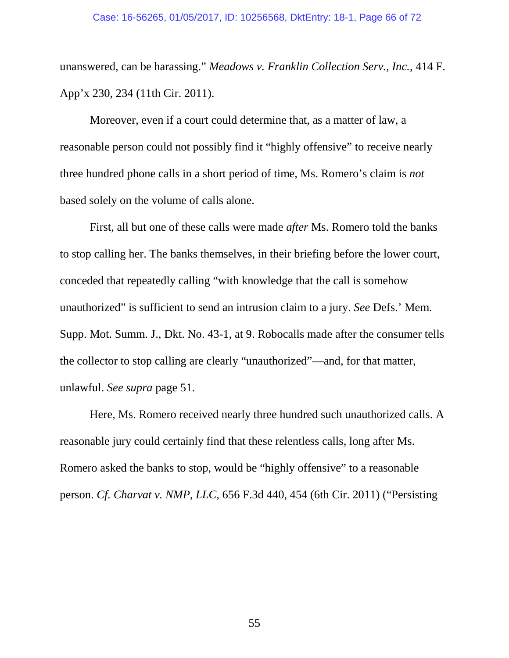#### Case: 16-56265, 01/05/2017, ID: 10256568, DktEntry: 18-1, Page 66 of 72

unanswered, can be harassing." *Meadows v. Franklin Collection Serv., Inc.*, 414 F. App'x 230, 234 (11th Cir. 2011).

Moreover, even if a court could determine that, as a matter of law, a reasonable person could not possibly find it "highly offensive" to receive nearly three hundred phone calls in a short period of time, Ms. Romero's claim is *not*  based solely on the volume of calls alone.

First, all but one of these calls were made *after* Ms. Romero told the banks to stop calling her. The banks themselves, in their briefing before the lower court, conceded that repeatedly calling "with knowledge that the call is somehow unauthorized" is sufficient to send an intrusion claim to a jury. *See* Defs.' Mem. Supp. Mot. Summ. J., Dkt. No. 43-1, at 9. Robocalls made after the consumer tells the collector to stop calling are clearly "unauthorized"—and, for that matter, unlawful. *See supra* page 51.

Here, Ms. Romero received nearly three hundred such unauthorized calls. A reasonable jury could certainly find that these relentless calls, long after Ms. Romero asked the banks to stop, would be "highly offensive" to a reasonable person. *Cf. Charvat v. NMP, LLC*, 656 F.3d 440, 454 (6th Cir. 2011) ("Persisting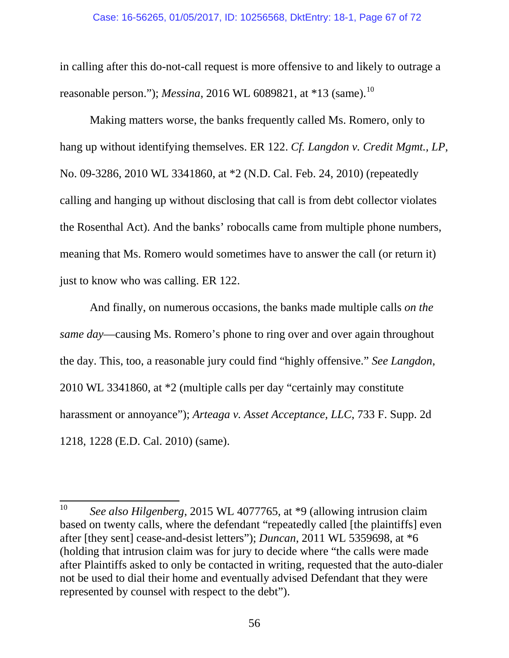### Case: 16-56265, 01/05/2017, ID: 10256568, DktEntry: 18-1, Page 67 of 72

in calling after this do-not-call request is more offensive to and likely to outrage a reasonable person."); *Messina*, 2016 WL 6089821, at \*13 (same).<sup>[10](#page-66-0)</sup>

Making matters worse, the banks frequently called Ms. Romero, only to hang up without identifying themselves. ER 122. *Cf. Langdon v. Credit Mgmt., LP*, No. 09-3286, 2010 WL 3341860, at \*2 (N.D. Cal. Feb. 24, 2010) (repeatedly calling and hanging up without disclosing that call is from debt collector violates the Rosenthal Act). And the banks' robocalls came from multiple phone numbers, meaning that Ms. Romero would sometimes have to answer the call (or return it) just to know who was calling. ER 122.

And finally, on numerous occasions, the banks made multiple calls *on the same day*—causing Ms. Romero's phone to ring over and over again throughout the day. This, too, a reasonable jury could find "highly offensive." *See Langdon*, 2010 WL 3341860, at \*2 (multiple calls per day "certainly may constitute harassment or annoyance"); *Arteaga v. Asset Acceptance, LLC*, 733 F. Supp. 2d 1218, 1228 (E.D. Cal. 2010) (same).

<span id="page-66-0"></span> <sup>10</sup> *See also Hilgenberg*, 2015 WL 4077765, at \*9 (allowing intrusion claim based on twenty calls, where the defendant "repeatedly called [the plaintiffs] even after [they sent] cease-and-desist letters"); *Duncan*, 2011 WL 5359698, at \*6 (holding that intrusion claim was for jury to decide where "the calls were made after Plaintiffs asked to only be contacted in writing, requested that the auto-dialer not be used to dial their home and eventually advised Defendant that they were represented by counsel with respect to the debt").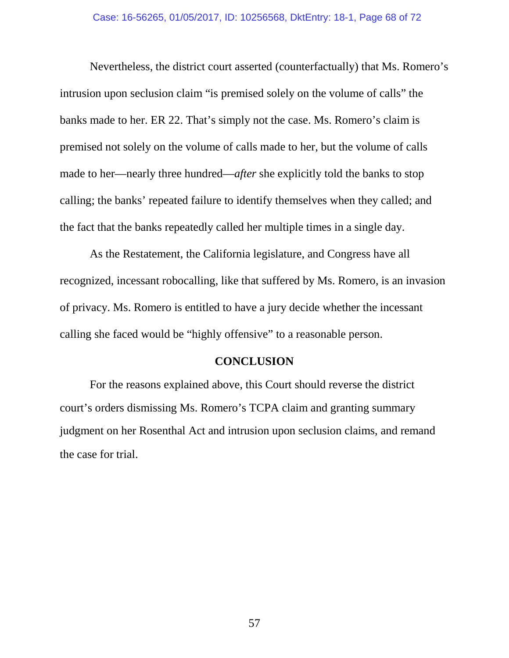Nevertheless, the district court asserted (counterfactually) that Ms. Romero's intrusion upon seclusion claim "is premised solely on the volume of calls" the banks made to her. ER 22. That's simply not the case. Ms. Romero's claim is premised not solely on the volume of calls made to her, but the volume of calls made to her—nearly three hundred—*after* she explicitly told the banks to stop calling; the banks' repeated failure to identify themselves when they called; and the fact that the banks repeatedly called her multiple times in a single day.

As the Restatement, the California legislature, and Congress have all recognized, incessant robocalling, like that suffered by Ms. Romero, is an invasion of privacy. Ms. Romero is entitled to have a jury decide whether the incessant calling she faced would be "highly offensive" to a reasonable person.

## **CONCLUSION**

For the reasons explained above, this Court should reverse the district court's orders dismissing Ms. Romero's TCPA claim and granting summary judgment on her Rosenthal Act and intrusion upon seclusion claims, and remand the case for trial.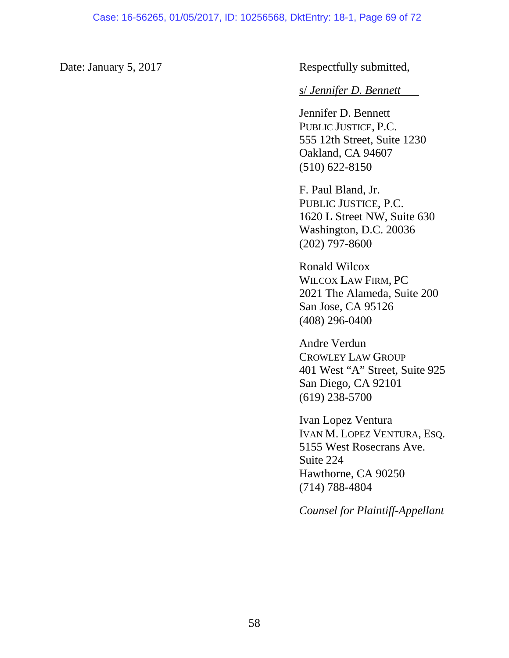Date: January 5, 2017 Respectfully submitted,

## s/ *Jennifer D. Bennett*

Jennifer D. Bennett PUBLIC JUSTICE, P.C. 555 12th Street, Suite 1230 Oakland, CA 94607 (510) 622-8150

F. Paul Bland, Jr. PUBLIC JUSTICE, P.C. 1620 L Street NW, Suite 630 Washington, D.C. 20036 (202) 797-8600

Ronald Wilcox WILCOX LAW FIRM, PC 2021 The Alameda, Suite 200 San Jose, CA 95126 (408) 296-0400

Andre Verdun CROWLEY LAW GROUP 401 West "A" Street, Suite 925 San Diego, CA 92101 (619) 238-5700

Ivan Lopez Ventura IVAN M. LOPEZ VENTURA, ESQ. 5155 West Rosecrans Ave. Suite 224 Hawthorne, CA 90250 (714) 788-4804

*Counsel for Plaintiff-Appellant*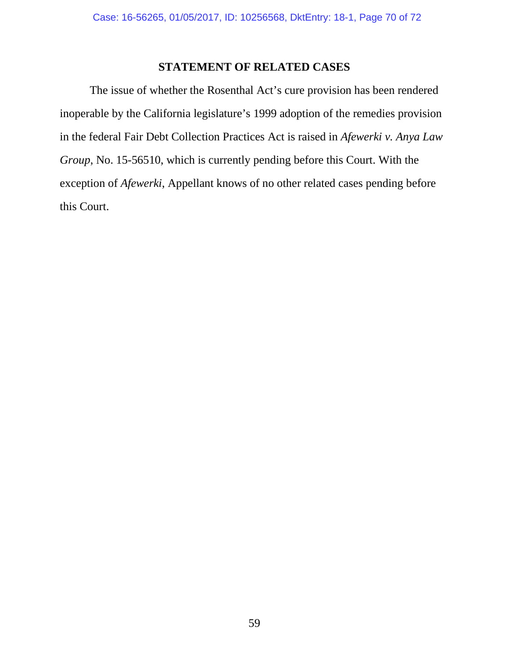## **STATEMENT OF RELATED CASES**

The issue of whether the Rosenthal Act's cure provision has been rendered inoperable by the California legislature's 1999 adoption of the remedies provision in the federal Fair Debt Collection Practices Act is raised in *Afewerki v. Anya Law Group*, No. 15-56510, which is currently pending before this Court. With the exception of *Afewerki*, Appellant knows of no other related cases pending before this Court.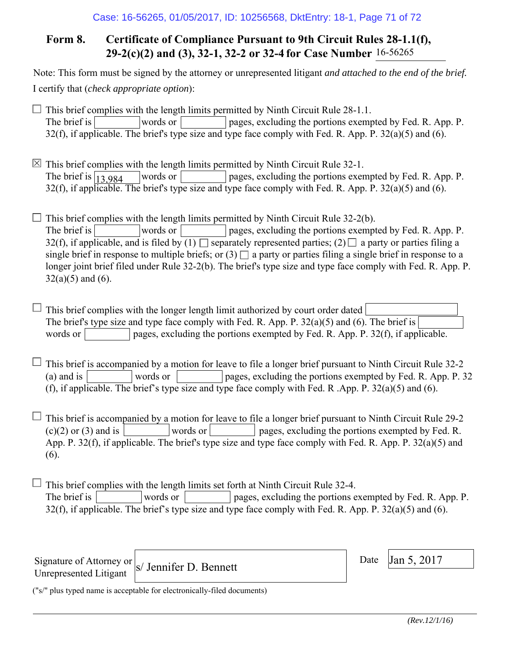# **Form 8. Certificate of Compliance Pursuant to 9th Circuit Rules 28-1.1(f), 29-2(c)(2) and (3), 32-1, 32-2 or 32-4 for Case Number** 16-56265

Note: This form must be signed by the attorney or unrepresented litigant *and attached to the end of the brief.* I certify that (*check appropriate option*):

 $\Box$  This brief complies with the length limits permitted by Ninth Circuit Rule 28-1.1. The brief is words or pages, excluding the portions exempted by Fed. R. App. P. 32(f), if applicable. The brief's type size and type face comply with Fed. R. App. P.  $32(a)(5)$  and (6).

 $\boxtimes$  This brief complies with the length limits permitted by Ninth Circuit Rule 32-1. words or pages, excluding the portions exempted by Fed. R. App. P.  $32(f)$ , if applicable. The brief's type size and type face comply with Fed. R. App. P.  $32(a)(5)$  and (6). The brief is  $\boxed{13,984}$ 

 $\Box$  This brief complies with the length limits permitted by Ninth Circuit Rule 32-2(b). The brief is words or pages, excluding the portions exempted by Fed. R. App. P. 32(f), if applicable, and is filed by  $(1)$  separately represented parties;  $(2)$  a party or parties filing a single brief in response to multiple briefs; or  $(3)$  a party or parties filing a single brief in response to a longer joint brief filed under Rule 32-2(b). The brief's type size and type face comply with Fed. R. App. P.  $32(a)(5)$  and  $(6)$ .

 $\Box$  This brief complies with the longer length limit authorized by court order dated The brief's type size and type face comply with Fed. R. App. P. 32(a)(5) and (6). The brief is words or  $\Box$  pages, excluding the portions exempted by Fed. R. App. P. 32(f), if applicable.

 $\Box$  This brief is accompanied by a motion for leave to file a longer brief pursuant to Ninth Circuit Rule 32-2 (a) and is words or pages, excluding the portions exempted by Fed. R. App. P. 32 (f), if applicable. The brief's type size and type face comply with Fed. R .App. P. 32(a)(5) and (6).

 $\Box$  This brief is accompanied by a motion for leave to file a longer brief pursuant to Ninth Circuit Rule 29-2  $(c)(2)$  or (3) and is words or words or pages, excluding the portions exempted by Fed. R. App. P. 32(f), if applicable. The brief's type size and type face comply with Fed. R. App. P. 32(a)(5) and (6).

 $\Box$  This brief complies with the length limits set forth at Ninth Circuit Rule 32-4. The brief is words or pages, excluding the portions exempted by Fed. R. App. P. 32(f), if applicable. The brief's type size and type face comply with Fed. R. App. P. 32(a)(5) and (6).

Signature of Attorney or Unrepresented Litigant

 $\vert$  S/ Jennifer D. Bennett Date  $\vert$  Date  $\vert$  Jan 5, 2017

Date

("s/" plus typed name is acceptable for electronically-filed documents)